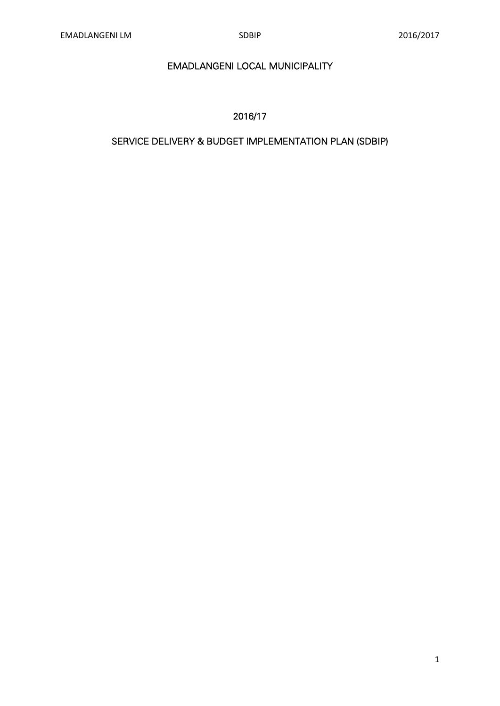# EMADLANGENI LOCAL MUNICIPALITY

## 2016/17

# SERVICE DELIVERY & BUDGET IMPLEMENTATION PLAN (SDBIP)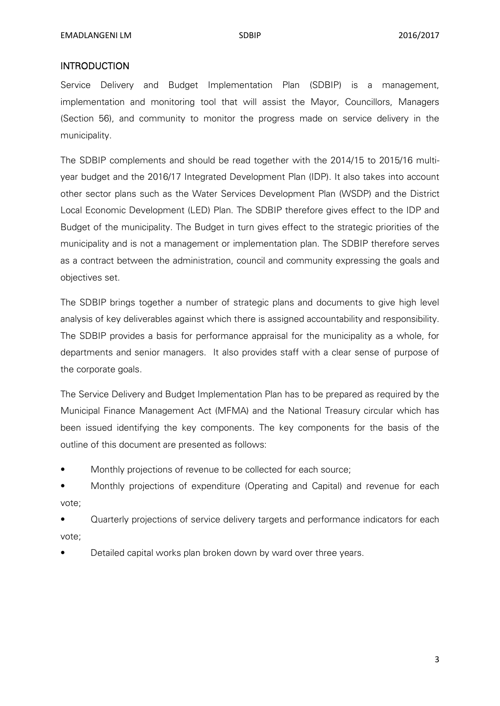#### **INTRODUCTION**

Service Delivery and Budget Implementation Plan (SDBIP) is a management, implementation and monitoring tool that will assist the Mayor, Councillors, Managers (Section 56), and community to monitor the progress made on service delivery in the municipality.

The SDBIP complements and should be read together with the 2014/15 to 2015/16 multiyear budget and the 2016/17 Integrated Development Plan (IDP). It also takes into account other sector plans such as the Water Services Development Plan (WSDP) and the District Local Economic Development (LED) Plan. The SDBIP therefore gives effect to the IDP and Budget of the municipality. The Budget in turn gives effect to the strategic priorities of the municipality and is not a management or implementation plan. The SDBIP therefore serves as a contract between the administration, council and community expressing the goals and objectives set.

The SDBIP brings together a number of strategic plans and documents to give high level analysis of key deliverables against which there is assigned accountability and responsibility. The SDBIP provides a basis for performance appraisal for the municipality as a whole, for departments and senior managers. It also provides staff with a clear sense of purpose of the corporate goals.

The Service Delivery and Budget Implementation Plan has to be prepared as required by the Municipal Finance Management Act (MFMA) and the National Treasury circular which has been issued identifying the key components. The key components for the basis of the outline of this document are presented as follows:

- Monthly projections of revenue to be collected for each source;
- Monthly projections of expenditure (Operating and Capital) and revenue for each vote;

• Quarterly projections of service delivery targets and performance indicators for each vote;

• Detailed capital works plan broken down by ward over three years.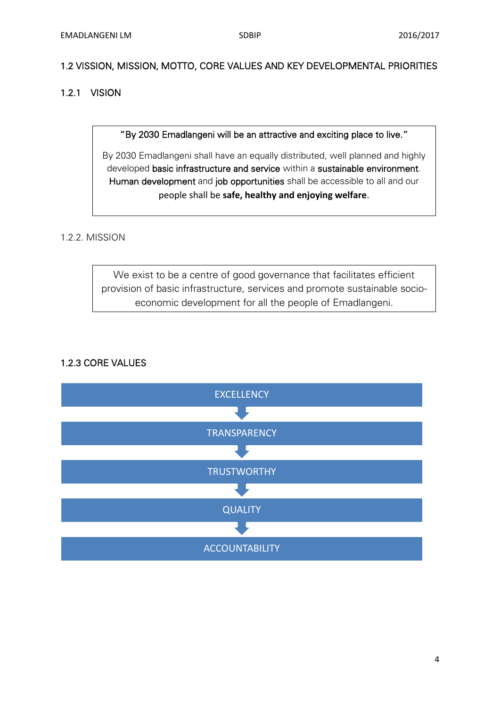## 1.2 VISSION, MISSION, MOTTO, CORE VALUES AND KEY DEVELOPMENTAL PRIORITIES

## 1.2.1 VISION

"By 2030 Emadlangeni will be an attractive and exciting place to live."

By 2030 Emadlangeni shall have an equally distributed, well planned and highly developed basic infrastructure and service within a sustainable environment. Human development and job opportunities shall be accessible to all and our people shall be **safe, healthy and enjoying welfare**.

## 1.2.2. MISSION

We exist to be a centre of good governance that facilitates efficient provision of basic infrastructure, services and promote sustainable socioeconomic development for all the people of Emadlangeni.

## 1.2.3 CORE VALUES

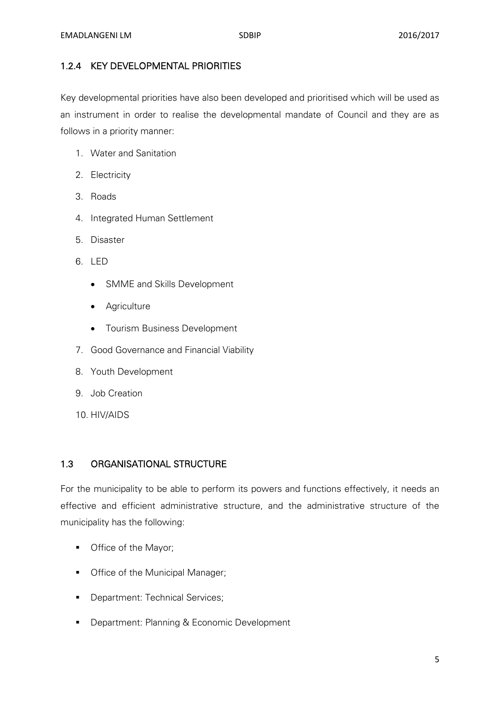#### 1.2.4 KEY DEVELOPMENTAL PRIORITIES

Key developmental priorities have also been developed and prioritised which will be used as an instrument in order to realise the developmental mandate of Council and they are as follows in a priority manner:

- 1. Water and Sanitation
- 2. Electricity
- 3. Roads
- 4. Integrated Human Settlement
- 5. Disaster
- 6. LED
	- SMME and Skills Development
	- Agriculture
	- Tourism Business Development
- 7. Good Governance and Financial Viability
- 8. Youth Development
- 9. Job Creation
- 10. HIV/AIDS

#### 1.3 ORGANISATIONAL STRUCTURE

For the municipality to be able to perform its powers and functions effectively, it needs an effective and efficient administrative structure, and the administrative structure of the municipality has the following:

- **•** Office of the Mayor;
- Office of the Municipal Manager;
- **Department: Technical Services;**
- **Department: Planning & Economic Development**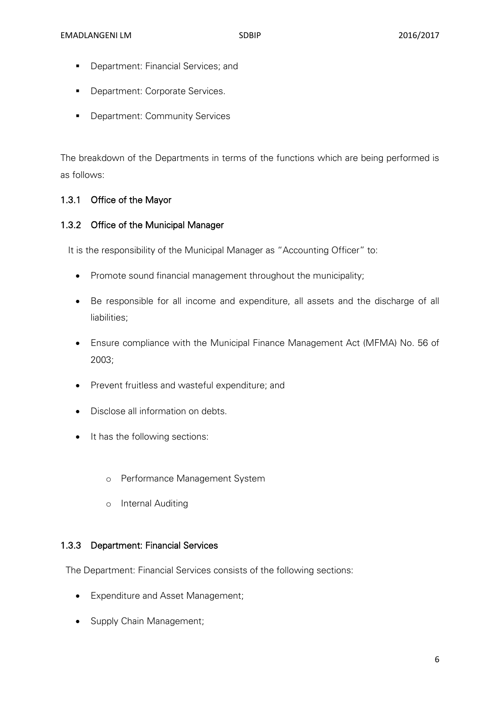- **Department: Financial Services; and**
- **Department: Corporate Services.**
- **Department: Community Services**

The breakdown of the Departments in terms of the functions which are being performed is as follows:

#### 1.3.1 Office of the Mayor

#### 1.3.2 Office of the Municipal Manager

It is the responsibility of the Municipal Manager as "Accounting Officer" to:

- Promote sound financial management throughout the municipality;
- Be responsible for all income and expenditure, all assets and the discharge of all liabilities;
- Ensure compliance with the Municipal Finance Management Act (MFMA) No. 56 of 2003;
- Prevent fruitless and wasteful expenditure; and
- Disclose all information on debts.
- It has the following sections:
	- o Performance Management System
	- o Internal Auditing

#### 1.3.3 Department: Financial Services

The Department: Financial Services consists of the following sections:

- Expenditure and Asset Management;
- Supply Chain Management;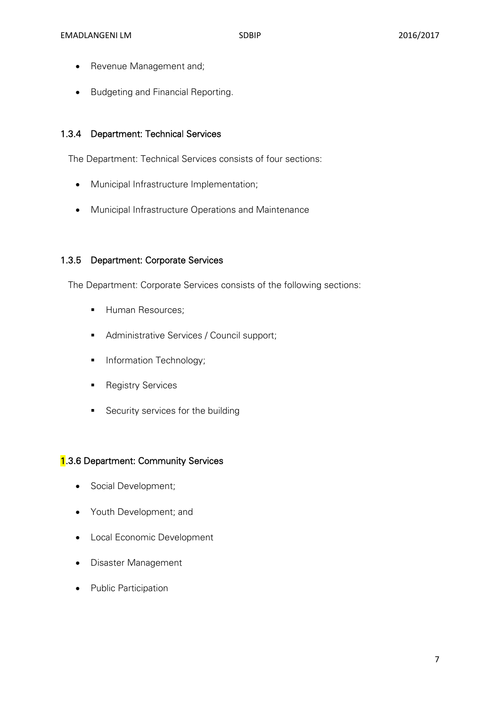- Revenue Management and;
- **Budgeting and Financial Reporting.**

#### 1.3.4 Department: Technical Services

The Department: Technical Services consists of four sections:

- Municipal Infrastructure Implementation;
- Municipal Infrastructure Operations and Maintenance

#### 1.3.5 Department: Corporate Services

The Department: Corporate Services consists of the following sections:

- **Human Resources;**
- **Administrative Services / Council support;**
- **Information Technology;**
- **Registry Services**
- Security services for the building

#### 1.3.6 Department: Community Services

- Social Development;
- Youth Development; and
- Local Economic Development
- Disaster Management
- Public Participation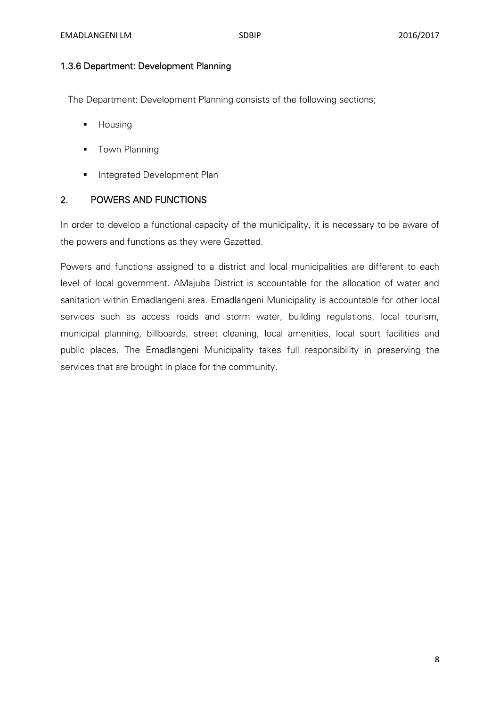#### 1.3.6 Department: Development Planning

The Department: Development Planning consists of the following sections;

- **-** Housing
- **Town Planning**
- **Integrated Development Plan**

#### 2. POWERS AND FUNCTIONS

In order to develop a functional capacity of the municipality, it is necessary to be aware of the powers and functions as they were Gazetted.

Powers and functions assigned to a district and local municipalities are different to each level of local government. AMajuba District is accountable for the allocation of water and sanitation within Emadlangeni area. Emadlangeni Municipality is accountable for other local services such as access roads and storm water, building regulations, local tourism, municipal planning, billboards, street cleaning, local amenities, local sport facilities and public places. The Emadlangeni Municipality takes full responsibility in preserving the services that are brought in place for the community.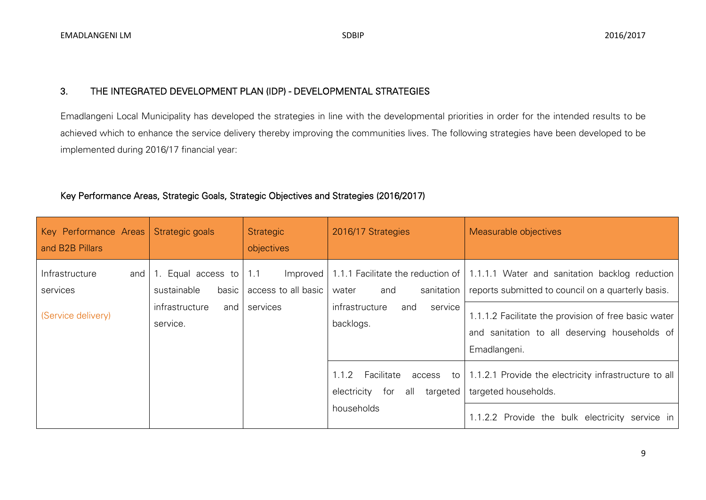#### 3. THE INTEGRATED DEVELOPMENT PLAN (IDP) - DEVELOPMENTAL STRATEGIES

Emadlangeni Local Municipality has developed the strategies in line with the developmental priorities in order for the intended results to be achieved which to enhance the service delivery thereby improving the communities lives. The following strategies have been developed to be implemented during 2016/17 financial year:

#### Key Performance Areas, Strategic Goals, Strategic Objectives and Strategies (2016/2017)

| Key Performance Areas Strategic goals<br>and B2B Pillars |                                         | Strategic<br>objectives                | 2016/17 Strategies                                          | Measurable objectives                                                                                                                  |
|----------------------------------------------------------|-----------------------------------------|----------------------------------------|-------------------------------------------------------------|----------------------------------------------------------------------------------------------------------------------------------------|
| Infrastructure<br>and<br>services                        | Equal access to<br>sustainable<br>basic | 1.1<br>Improved<br>access to all basic | sanitation<br>and<br>water                                  | 1.1.1 Facilitate the reduction of 1.1.1.1 Water and sanitation backlog reduction<br>reports submitted to council on a quarterly basis. |
| (Service delivery)                                       | infrastructure<br>and<br>service.       | services                               | infrastructure<br>service<br>and<br>backlogs.               | 1.1.1.2 Facilitate the provision of free basic water<br>and sanitation to all deserving households of<br>Emadlangeni.                  |
|                                                          |                                         |                                        | Facilitate<br>1.1.2<br>targeted  <br>electricity for<br>all | access to   1.1.2.1 Provide the electricity infrastructure to all<br>targeted households.                                              |
|                                                          |                                         |                                        | households                                                  | 1.1.2.2 Provide the bulk electricity service in                                                                                        |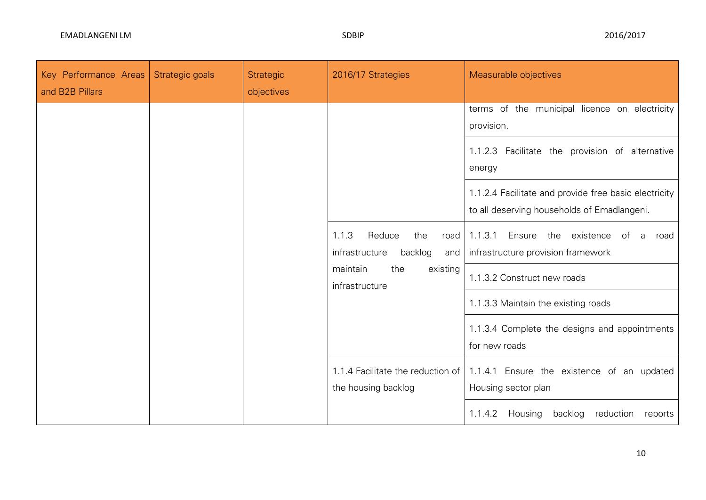| Key Performance Areas<br>and B2B Pillars | Strategic goals | <b>Strategic</b><br>objectives | 2016/17 Strategies                                                 | Measurable objectives                                                                                |
|------------------------------------------|-----------------|--------------------------------|--------------------------------------------------------------------|------------------------------------------------------------------------------------------------------|
|                                          |                 |                                |                                                                    | terms of the municipal licence on electricity<br>provision.                                          |
|                                          |                 |                                |                                                                    | 1.1.2.3 Facilitate the provision of alternative<br>energy                                            |
|                                          |                 |                                |                                                                    | 1.1.2.4 Facilitate and provide free basic electricity<br>to all deserving households of Emadlangeni. |
|                                          |                 |                                | 1.1.3<br>Reduce<br>the<br>road<br>infrastructure<br>backlog<br>and | 1.1.3.1<br>Ensure the existence<br>of a road<br>infrastructure provision framework                   |
|                                          |                 |                                | maintain<br>the<br>existing<br>infrastructure                      | 1.1.3.2 Construct new roads                                                                          |
|                                          |                 |                                |                                                                    | 1.1.3.3 Maintain the existing roads                                                                  |
|                                          |                 |                                |                                                                    | 1.1.3.4 Complete the designs and appointments<br>for new roads                                       |
|                                          |                 |                                | 1.1.4 Facilitate the reduction of<br>the housing backlog           | 1.1.4.1 Ensure the existence of an updated<br>Housing sector plan                                    |
|                                          |                 |                                |                                                                    | Housing<br>backlog<br>1.1.4.2<br>reduction<br>reports                                                |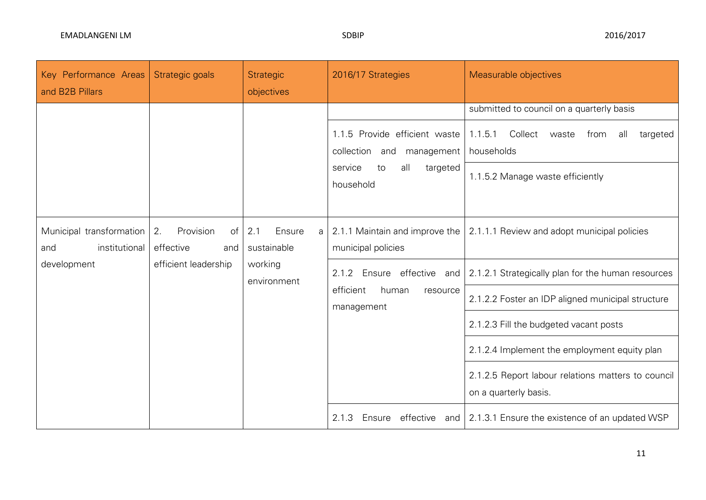| Key Performance Areas<br>and B2B Pillars         | Strategic goals                           | <b>Strategic</b><br>objectives    | 2016/17 Strategies                                                                                          | Measurable objectives                                                                                                                                 |  |  |  |                                                                                  |                                                                                                         |
|--------------------------------------------------|-------------------------------------------|-----------------------------------|-------------------------------------------------------------------------------------------------------------|-------------------------------------------------------------------------------------------------------------------------------------------------------|--|--|--|----------------------------------------------------------------------------------|---------------------------------------------------------------------------------------------------------|
|                                                  |                                           |                                   | 1.1.5 Provide efficient waste<br>collection and management<br>targeted<br>service<br>to<br>all<br>household | submitted to council on a quarterly basis<br>Collect<br>1.1.5.1<br>all<br>targeted<br>waste<br>from<br>households<br>1.1.5.2 Manage waste efficiently |  |  |  |                                                                                  |                                                                                                         |
| Municipal transformation<br>institutional<br>and | 2.<br>Provision<br>of<br>effective<br>and | Ensure<br>2.1<br>a<br>sustainable | municipal policies                                                                                          | 2.1.1 Maintain and improve the 2.1.1.1 Review and adopt municipal policies                                                                            |  |  |  |                                                                                  |                                                                                                         |
| development                                      | efficient leadership                      | working<br>environment            |                                                                                                             |                                                                                                                                                       |  |  |  | 2.1.2<br>Ensure<br>effective and<br>efficient<br>human<br>resource<br>management | 2.1.2.1 Strategically plan for the human resources<br>2.1.2.2 Foster an IDP aligned municipal structure |
|                                                  |                                           |                                   | 2.1.2.3 Fill the budgeted vacant posts<br>2.1.2.4 Implement the employment equity plan                      |                                                                                                                                                       |  |  |  |                                                                                  |                                                                                                         |
|                                                  |                                           |                                   | 2.1.2.5 Report labour relations matters to council<br>on a quarterly basis.                                 |                                                                                                                                                       |  |  |  |                                                                                  |                                                                                                         |
|                                                  |                                           |                                   | effective<br>2.1.3<br>Ensure                                                                                | and   2.1.3.1 Ensure the existence of an updated WSP                                                                                                  |  |  |  |                                                                                  |                                                                                                         |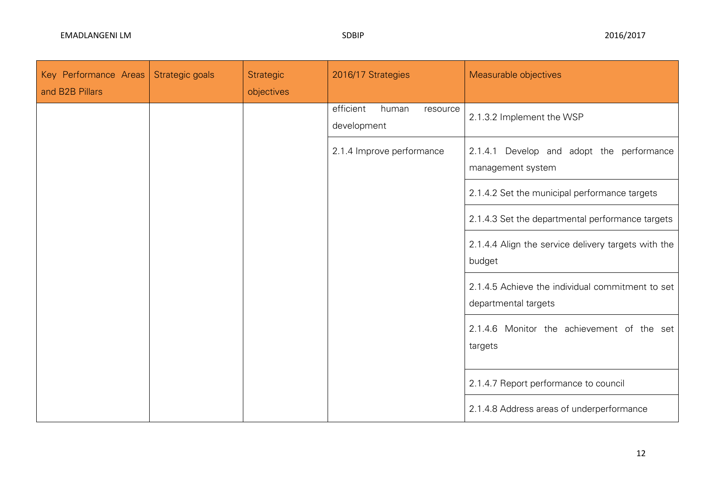| Key Performance Areas<br>and B2B Pillars | Strategic goals | <b>Strategic</b><br>objectives | 2016/17 Strategies                            | Measurable objectives                                                    |
|------------------------------------------|-----------------|--------------------------------|-----------------------------------------------|--------------------------------------------------------------------------|
|                                          |                 |                                | efficient<br>human<br>resource<br>development | 2.1.3.2 Implement the WSP                                                |
|                                          |                 |                                | 2.1.4 Improve performance                     | 2.1.4.1 Develop and adopt the performance<br>management system           |
|                                          |                 |                                |                                               | 2.1.4.2 Set the municipal performance targets                            |
|                                          |                 |                                |                                               | 2.1.4.3 Set the departmental performance targets                         |
|                                          |                 |                                |                                               | 2.1.4.4 Align the service delivery targets with the<br>budget            |
|                                          |                 |                                |                                               | 2.1.4.5 Achieve the individual commitment to set<br>departmental targets |
|                                          |                 |                                |                                               | 2.1.4.6 Monitor the achievement of the set<br>targets                    |
|                                          |                 |                                |                                               | 2.1.4.7 Report performance to council                                    |
|                                          |                 |                                |                                               | 2.1.4.8 Address areas of underperformance                                |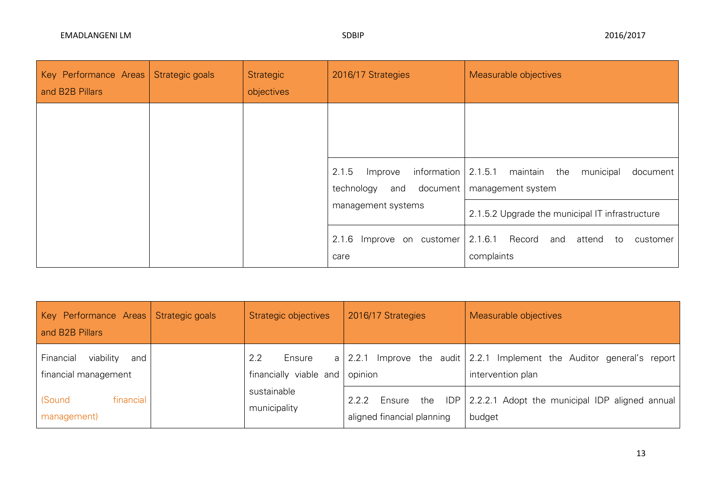| Key Performance Areas<br>and B2B Pillars | Strategic goals | Strategic<br>objectives                                                                                                                 | 2016/17 Strategies                   | Measurable objectives                                        |
|------------------------------------------|-----------------|-----------------------------------------------------------------------------------------------------------------------------------------|--------------------------------------|--------------------------------------------------------------|
|                                          |                 | information $\vert 2.1.5.1$ maintain the<br>2.1.5<br>municipal<br>Improve<br>document<br>and document   management system<br>technology |                                      |                                                              |
|                                          |                 |                                                                                                                                         | management systems                   | 2.1.5.2 Upgrade the municipal IT infrastructure              |
|                                          |                 |                                                                                                                                         | 2.1.6<br>Improve on customer<br>care | 2.1.6.1 Record<br>and<br>attend to<br>customer<br>complaints |

| Key Performance Areas   Strategic goals<br>and B2B Pillars | Strategic objectives                    | 2016/17 Strategies                                   | Measurable objectives                                                                           |
|------------------------------------------------------------|-----------------------------------------|------------------------------------------------------|-------------------------------------------------------------------------------------------------|
| viability<br>Financial<br>and<br>financial management      | 2.2<br>Ensure<br>financially viable and | opinion                                              | a   2.2.1 Improve the audit   2.2.1 Implement the Auditor general's report<br>intervention plan |
| financial<br>(Sound<br>management)                         | sustainable<br>municipality             | 2.2.2<br>the<br>Ensure<br>aligned financial planning | IDP 2.2.2.1 Adopt the municipal IDP aligned annual<br>budget                                    |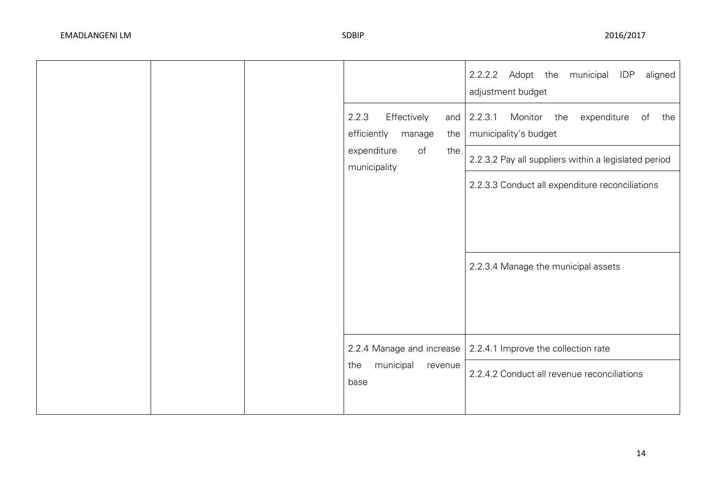|  |                                               |            | municipal IDP<br>2.2.2.2 Adopt the<br>aligned<br>adjustment budget          |
|--|-----------------------------------------------|------------|-----------------------------------------------------------------------------|
|  | 2.2.3<br>Effectively<br>efficiently<br>manage | and<br>the | 2.2.3.1<br>Monitor the<br>expenditure<br>of<br>the<br>municipality's budget |
|  | expenditure<br>of<br>municipality             | the        | 2.2.3.2 Pay all suppliers within a legislated period                        |
|  |                                               |            | 2.2.3.3 Conduct all expenditure reconciliations                             |
|  |                                               |            |                                                                             |
|  |                                               |            |                                                                             |
|  |                                               |            | 2.2.3.4 Manage the municipal assets                                         |
|  |                                               |            |                                                                             |
|  |                                               |            |                                                                             |
|  | 2.2.4 Manage and increase                     |            | 2.2.4.1 Improve the collection rate                                         |
|  | municipal<br>the<br>base                      | revenue    | 2.2.4.2 Conduct all revenue reconciliations                                 |
|  |                                               |            |                                                                             |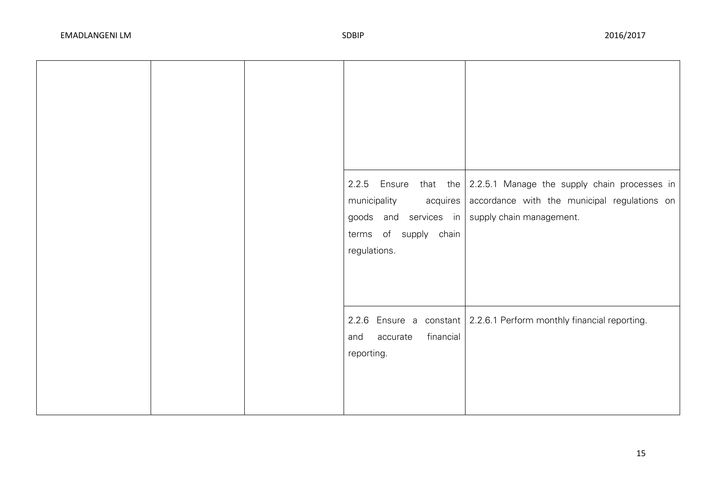|  | municipality<br>acquires<br>goods and services in<br>terms of supply chain<br>regulations. | 2.2.5 Ensure that the $\vert$ 2.2.5.1 Manage the supply chain processes in<br>accordance with the municipal regulations on<br>supply chain management. |
|--|--------------------------------------------------------------------------------------------|--------------------------------------------------------------------------------------------------------------------------------------------------------|
|  | financial<br>accurate<br>and<br>reporting.                                                 | 2.2.6 Ensure a constant 2.2.6.1 Perform monthly financial reporting.                                                                                   |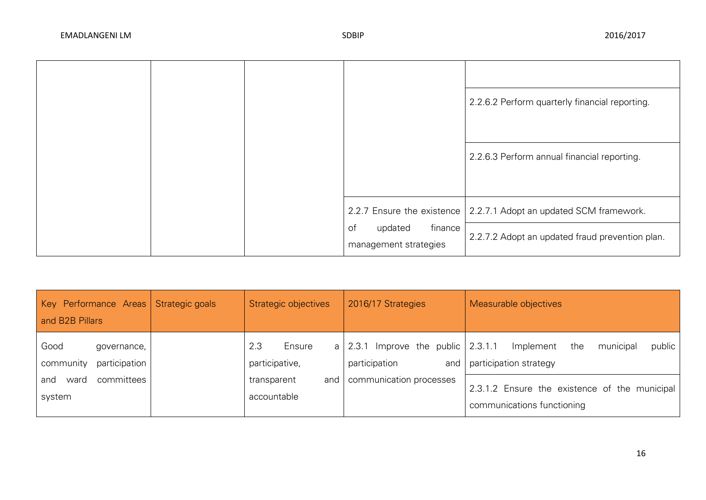|  |                                                   | 2.2.6.2 Perform quarterly financial reporting.                       |
|--|---------------------------------------------------|----------------------------------------------------------------------|
|  |                                                   | 2.2.6.3 Perform annual financial reporting.                          |
|  |                                                   | 2.2.7 Ensure the existence   2.2.7.1 Adopt an updated SCM framework. |
|  | finance<br>of<br>updated<br>management strategies | 2.2.7.2 Adopt an updated fraud prevention plan.                      |

| Key Performance Areas Strategic goals<br>and B2B Pillars | Strategic objectives              | 2016/17 Strategies                                                   | Measurable objectives                                                       |
|----------------------------------------------------------|-----------------------------------|----------------------------------------------------------------------|-----------------------------------------------------------------------------|
| Good<br>governance,<br>participation<br>community        | 2.3<br>Ensure<br>participative,   | a   2.3.1 Improve the public $\vert$ 2.3.1.1<br>participation<br>and | municipal<br>public  <br>Implement<br>the<br>participation strategy         |
| committees<br>and<br>ward<br>system                      | and<br>transparent<br>accountable | communication processes                                              | 2.3.1.2 Ensure the existence of the municipal<br>communications functioning |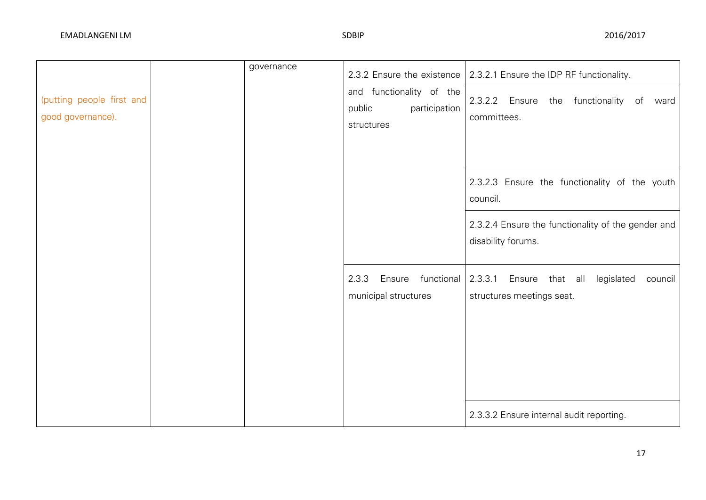| (putting people first and<br>good governance). | governance | 2.3.2 Ensure the existence<br>and functionality of the<br>participation<br>public<br>structures | 2.3.2.1 Ensure the IDP RF functionality.<br>2.3.2.2 Ensure the functionality of ward<br>committees.                                   |
|------------------------------------------------|------------|-------------------------------------------------------------------------------------------------|---------------------------------------------------------------------------------------------------------------------------------------|
|                                                |            |                                                                                                 | 2.3.2.3 Ensure the functionality of the youth<br>council.<br>2.3.2.4 Ensure the functionality of the gender and<br>disability forums. |
|                                                |            | 2.3.3<br>Ensure functional<br>municipal structures                                              | 2.3.3.1 Ensure that all<br>legislated<br>council<br>structures meetings seat.<br>2.3.3.2 Ensure internal audit reporting.             |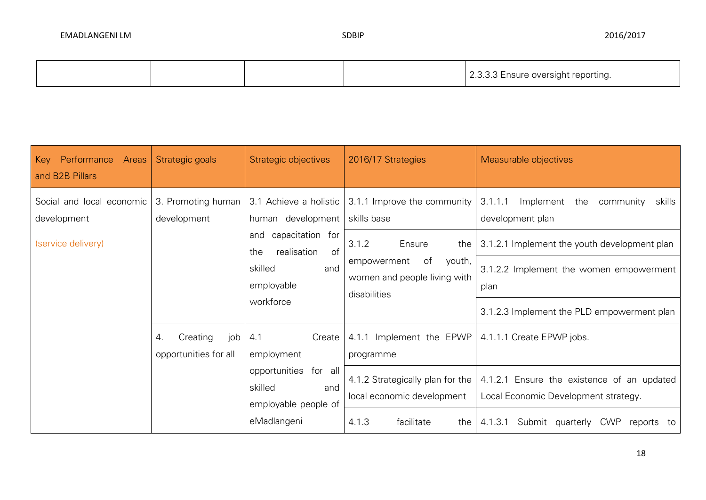|  |  | 3.3.3 Ensure oversight reporting.<br>. |  |
|--|--|----------------------------------------|--|
|--|--|----------------------------------------|--|

| Performance<br>Areas<br>Key<br>and B2B Pillars                 | Strategic goals                                                                                   | Strategic objectives                                                                                                                  | 2016/17 Strategies                                                                                                                                  | Measurable objectives                                                                                                                                                                                                   |
|----------------------------------------------------------------|---------------------------------------------------------------------------------------------------|---------------------------------------------------------------------------------------------------------------------------------------|-----------------------------------------------------------------------------------------------------------------------------------------------------|-------------------------------------------------------------------------------------------------------------------------------------------------------------------------------------------------------------------------|
| Social and local economic<br>development<br>(service delivery) | 3. Promoting human<br>development<br>the<br>Creating<br>job<br>4.1<br>4.<br>opportunities for all | 3.1 Achieve a holistic<br>human development<br>and capacitation for<br>of<br>realisation<br>skilled<br>and<br>employable<br>workforce | 3.1.1 Improve the community<br>skills base<br>3.1.2<br>Ensure<br>the<br>of<br>empowerment<br>youth,<br>women and people living with<br>disabilities | 3.1.1.1<br>Implement<br>the<br>skills<br>community<br>development plan<br>3.1.2.1 Implement the youth development plan<br>3.1.2.2 Implement the women empowerment<br>plan<br>3.1.2.3 Implement the PLD empowerment plan |
|                                                                |                                                                                                   | Create<br>employment<br>opportunities<br>for all<br>skilled<br>and<br>employable people of<br>eMadlangeni                             | 4.1.1 Implement the EPWP<br>programme<br>4.1.2 Strategically plan for the<br>local economic development<br>4.1.3<br>facilitate<br>the               | 4.1.1.1 Create EPWP jobs.<br>4.1.2.1 Ensure the existence of an updated<br>Local Economic Development strategy.<br>Submit quarterly<br>4.1.3.1<br>CWP<br>reports to                                                     |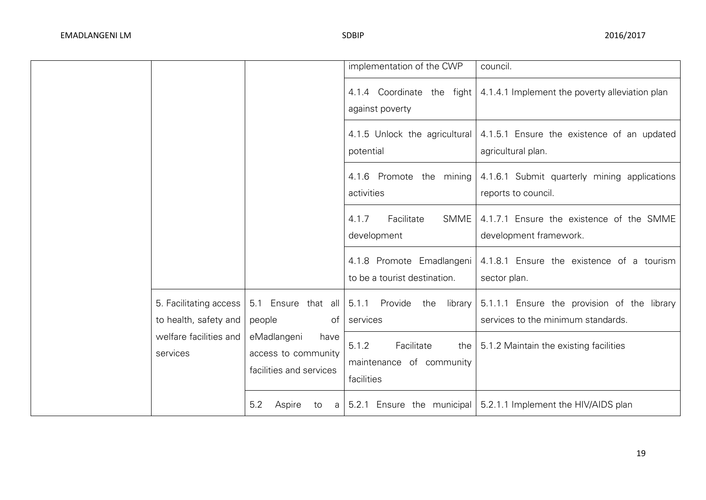|                                                 |                                                                       | implementation of the CWP                                              | council.                                                                                    |
|-------------------------------------------------|-----------------------------------------------------------------------|------------------------------------------------------------------------|---------------------------------------------------------------------------------------------|
|                                                 |                                                                       | against poverty                                                        | 4.1.4 Coordinate the fight 4.1.4.1 Implement the poverty alleviation plan                   |
|                                                 |                                                                       | 4.1.5 Unlock the agricultural<br>potential                             | 4.1.5.1 Ensure the existence of an updated<br>agricultural plan.                            |
|                                                 |                                                                       | 4.1.6 Promote the mining<br>activities                                 | 4.1.6.1 Submit quarterly mining applications<br>reports to council.                         |
|                                                 |                                                                       | Facilitate<br>4.1.7<br>SMME<br>development                             | 4.1.7.1 Ensure the existence of the SMME<br>development framework.                          |
|                                                 |                                                                       | 4.1.8 Promote Emadlangeni<br>to be a tourist destination.              | 4.1.8.1 Ensure the existence of a tourism<br>sector plan.                                   |
| 5. Facilitating access<br>to health, safety and | 5.1 Ensure that all<br>people<br>of                                   | 5.1.1 Provide<br>the<br>services                                       | library   5.1.1.1 Ensure the provision of the library<br>services to the minimum standards. |
| welfare facilities and<br>services              | eMadlangeni<br>have<br>access to community<br>facilities and services | 5.1.2<br>Facilitate<br>the  <br>maintenance of community<br>facilities | 5.1.2 Maintain the existing facilities                                                      |
|                                                 | 5.2<br>Aspire<br>to                                                   |                                                                        | $a$   5.2.1 Ensure the municipal   5.2.1.1 Implement the HIV/AIDS plan                      |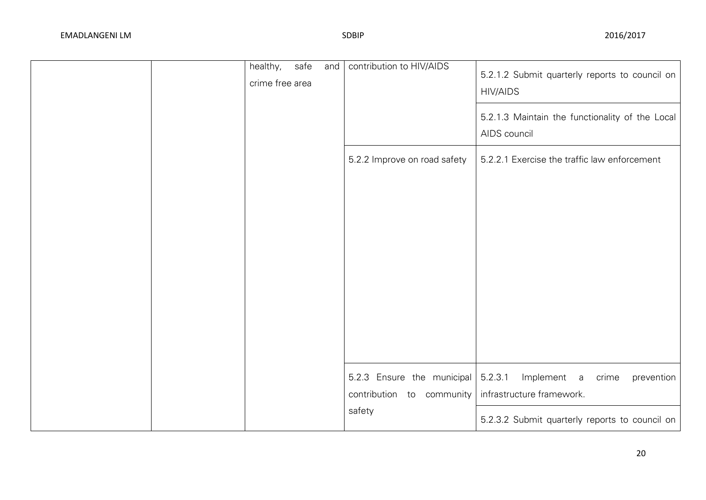| healthy,<br>safe<br>and<br>crime free area | contribution to HIV/AIDS                                          | 5.2.1.2 Submit quarterly reports to council on<br><b>HIV/AIDS</b>          |
|--------------------------------------------|-------------------------------------------------------------------|----------------------------------------------------------------------------|
|                                            |                                                                   | 5.2.1.3 Maintain the functionality of the Local<br>AIDS council            |
|                                            | 5.2.2 Improve on road safety                                      | 5.2.2.1 Exercise the traffic law enforcement                               |
|                                            |                                                                   |                                                                            |
|                                            |                                                                   |                                                                            |
|                                            |                                                                   |                                                                            |
|                                            |                                                                   |                                                                            |
|                                            |                                                                   |                                                                            |
|                                            |                                                                   |                                                                            |
|                                            | 5.2.3 Ensure the municipal<br>contribution to community<br>safety | 5.2.3.1<br>Implement a<br>crime<br>prevention<br>infrastructure framework. |
|                                            |                                                                   | 5.2.3.2 Submit quarterly reports to council on                             |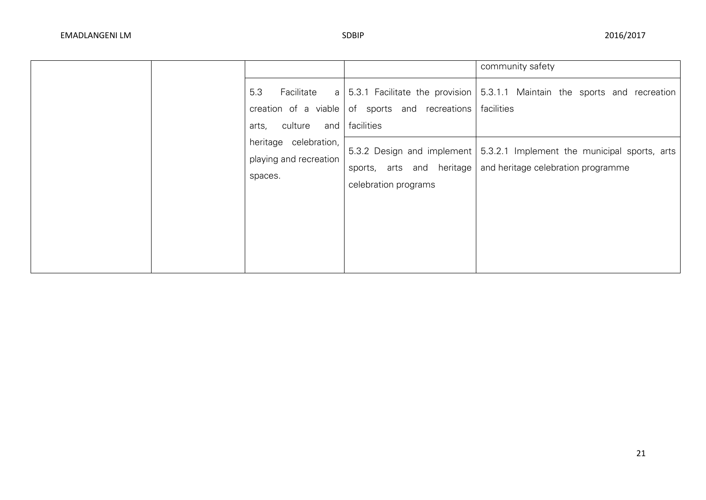|                                                            |                                                                    | community safety                                                                                                |
|------------------------------------------------------------|--------------------------------------------------------------------|-----------------------------------------------------------------------------------------------------------------|
| 5.3<br>Facilitate<br>culture<br>arts,                      | creation of a viable of sports and recreations<br>and   facilities | a $\vert$ 5.3.1 Facilitate the provision $\vert$ 5.3.1.1 Maintain the sports and recreation<br>facilities       |
| heritage celebration,<br>playing and recreation<br>spaces. | sports, arts and heritage<br>celebration programs                  | 5.3.2 Design and implement   5.3.2.1 Implement the municipal sports, arts<br>and heritage celebration programme |
|                                                            |                                                                    |                                                                                                                 |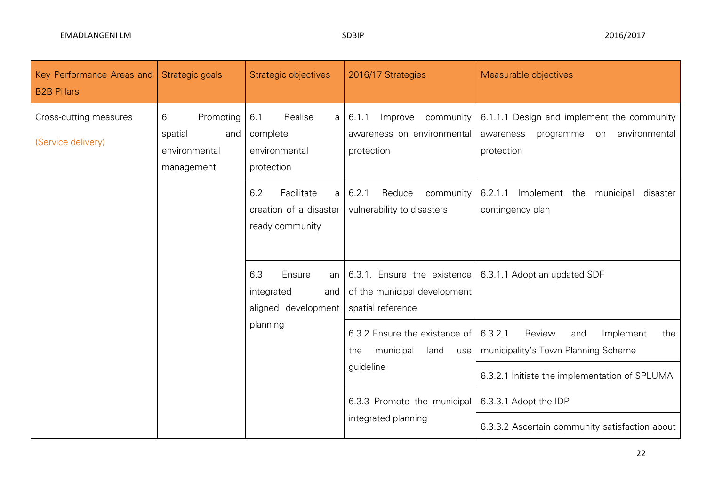| Key Performance Areas and<br><b>B2B Pillars</b> | Strategic goals                                                  | Strategic objectives                                                | 2016/17 Strategies                                                               | Measurable objectives                                                                                  |
|-------------------------------------------------|------------------------------------------------------------------|---------------------------------------------------------------------|----------------------------------------------------------------------------------|--------------------------------------------------------------------------------------------------------|
| Cross-cutting measures<br>(Service delivery)    | 6.<br>Promoting<br>spatial<br>and<br>environmental<br>management | 6.1<br>Realise<br>a<br>complete<br>environmental<br>protection      | Improve community<br>6.1.1<br>awareness on environmental<br>protection           | 6.1.1.1 Design and implement the community<br>on environmental<br>awareness<br>programme<br>protection |
|                                                 |                                                                  | Facilitate<br>6.2<br>a<br>creation of a disaster<br>ready community | 6.2.1<br>Reduce<br>community<br>vulnerability to disasters                       | 6.2.1.1 Implement the municipal<br>disaster<br>contingency plan                                        |
|                                                 |                                                                  | 6.3<br>Ensure<br>an<br>integrated<br>and<br>aligned development     | 6.3.1. Ensure the existence<br>of the municipal development<br>spatial reference | 6.3.1.1 Adopt an updated SDF                                                                           |
|                                                 |                                                                  | planning                                                            | 6.3.2 Ensure the existence of<br>municipal<br>land<br>the<br>use                 | 6.3.2.1<br>Review<br>Implement<br>the<br>and<br>municipality's Town Planning Scheme                    |
|                                                 |                                                                  |                                                                     | guideline                                                                        | 6.3.2.1 Initiate the implementation of SPLUMA                                                          |
|                                                 |                                                                  |                                                                     | 6.3.3 Promote the municipal                                                      | 6.3.3.1 Adopt the IDP                                                                                  |
|                                                 |                                                                  |                                                                     | integrated planning                                                              | 6.3.3.2 Ascertain community satisfaction about                                                         |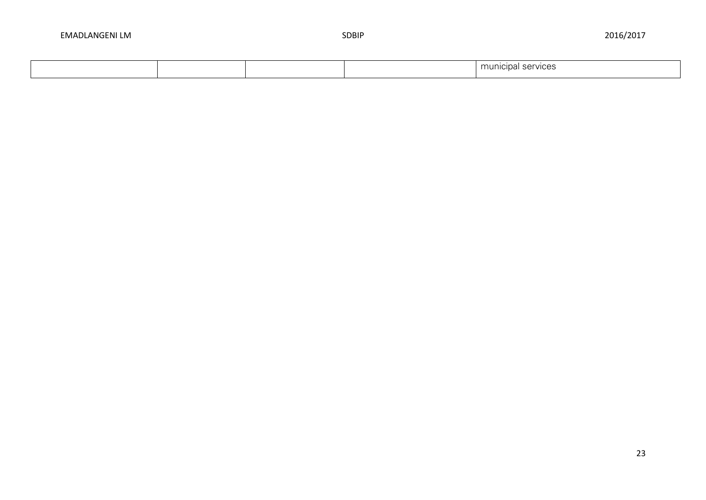|  |  | rvices<br>unal :<br>$\sim$<br>╰ |
|--|--|---------------------------------|
|  |  |                                 |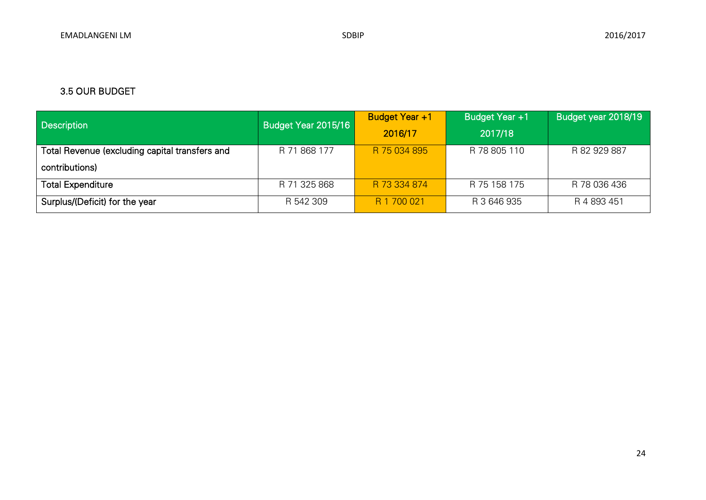# 3.5 OUR BUDGET

| <b>Description</b>                             | Budget Year +1<br>Budget Year 2015/16 |              | Budget Year +1 | Budget year 2018/19 |
|------------------------------------------------|---------------------------------------|--------------|----------------|---------------------|
|                                                |                                       | 2016/17      | 2017/18        |                     |
| Total Revenue (excluding capital transfers and | R 71 868 177                          | R 75 034 895 | R 78 805 110   | R 82 929 887        |
| contributions)                                 |                                       |              |                |                     |
| <b>Total Expenditure</b>                       | R 71 325 868                          | R 73 334 874 | R 75 158 175   | R 78 036 436        |
| Surplus/(Deficit) for the year                 | R 542 309                             | R 1 700 021  | R 3 646 935    | R 4 893 451         |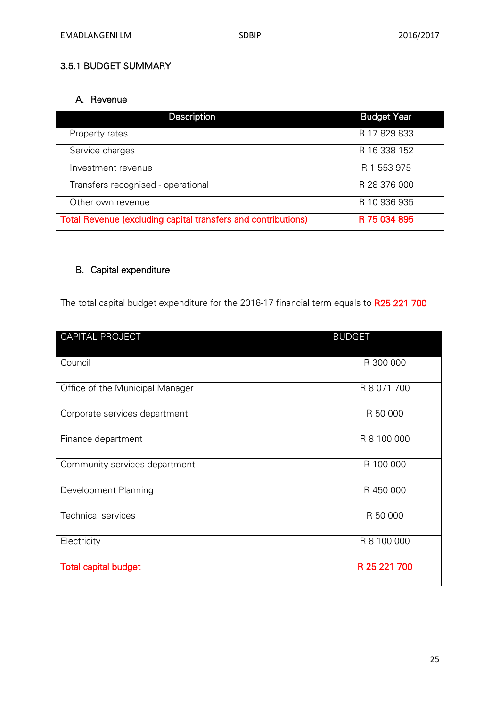# 3.5.1 BUDGET SUMMARY

# A. Revenue

| Description                                                   | <b>Budget Year</b> |
|---------------------------------------------------------------|--------------------|
| Property rates                                                | R 17 829 833       |
| Service charges                                               | R 16 338 152       |
| Investment revenue                                            | R 1 553 975        |
| Transfers recognised - operational                            | R 28 376 000       |
| Other own revenue                                             | R 10 936 935       |
| Total Revenue (excluding capital transfers and contributions) | R 75 034 895       |

# B. Capital expenditure

The total capital budget expenditure for the 2016-17 financial term equals to R25 221 700

| <b>CAPITAL PROJECT</b>          | <b>BUDGET</b> |
|---------------------------------|---------------|
| Council                         | R 300 000     |
| Office of the Municipal Manager | R 8 071 700   |
| Corporate services department   | R 50 000      |
| Finance department              | R 8 100 000   |
| Community services department   | R 100 000     |
| Development Planning            | R 450 000     |
| <b>Technical services</b>       | R 50 000      |
| Electricity                     | R 8 100 000   |
| <b>Total capital budget</b>     | R 25 221 700  |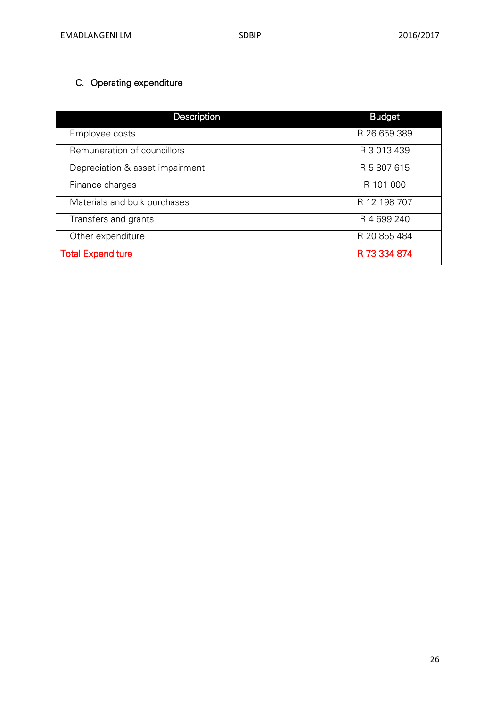# C. Operating expenditure

| Description                     | <b>Budget</b> |
|---------------------------------|---------------|
| Employee costs                  | R 26 659 389  |
| Remuneration of councillors     | R 3 013 439   |
| Depreciation & asset impairment | R 5 807 615   |
| Finance charges                 | R 101 000     |
| Materials and bulk purchases    | R 12 198 707  |
| Transfers and grants            | R 4 699 240   |
| Other expenditure               | R 20 855 484  |
| <b>Total Expenditure</b>        | R 73 334 874  |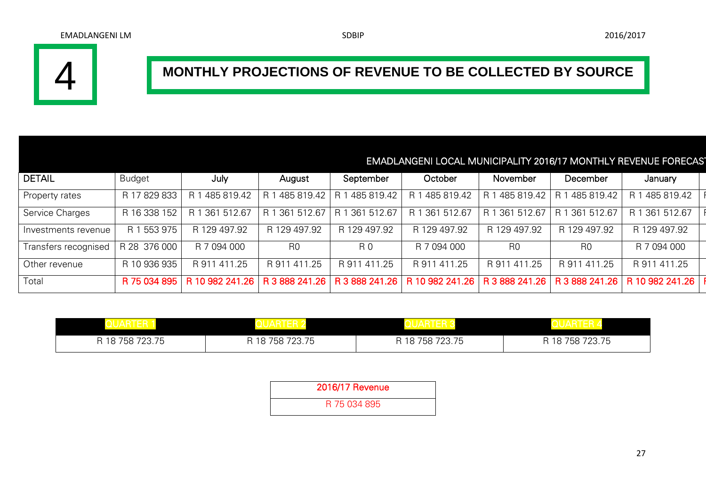

# **MONTHLY PROJECTIONS OF REVENUE TO BE COLLECTED BY SOURCE**

# EMADLANGENI LOCAL MUNICIPALITY 2016/17 MONTHLY REVENUE FORECAST

| DETAIL               | <b>Budget</b> | July              | August              | September      | October        | November       | December       | January                                                                                                                                |
|----------------------|---------------|-------------------|---------------------|----------------|----------------|----------------|----------------|----------------------------------------------------------------------------------------------------------------------------------------|
| Property rates       | R 17 829 833  | 485 819.42        | 485 819.42  <br>I R | R 1 485 819.42 |                |                |                | R 1 485 819.42   R 1 485 819.42   R 1 485 819.42   R 1 485 819.42   F                                                                  |
| Service Charges      | R 16 338 152  | 361 512.67<br>R 1 | 1 361 512.67        | R 1 361 512.67 | R 1 361 512.67 | R 1 361 512.67 | R 1 361 512.67 | R 1 361 512.67                                                                                                                         |
| Investments revenue  | R 1 553 975   | R 129 497.92      | R 129 497.92        | R 129 497.92   | R 129 497.92   | R 129 497.92   | R 129 497.92   | R 129 497.92                                                                                                                           |
| Transfers recognised | R 28 376 000  | R 7 094 000       | R0                  | R 0            | R 7 094 000    | R <sub>0</sub> | R0             | R 7 094 000                                                                                                                            |
| Other revenue        | R 10 936 935  | R 911 411.25      | R 911 411.25        | R 911 411.25   | R 911 411.25   | R 911 411.25   | R 911 411.25   | R 911 411.25                                                                                                                           |
| Total                |               |                   |                     |                |                |                |                | R 75 034 895   R 10 982 241.26   R 3 888 241.26   R 3 888 241.26   R 10 982 241.26   R 3 888 241.26   R 3 888 241.26   R 10 982 241.26 |

| R 18 758 723.75 | R 18 758 723.75 | 758 723.75<br>18<br>D | R 18 758 723.75 |
|-----------------|-----------------|-----------------------|-----------------|

| 2016/17 Revenue |  |
|-----------------|--|
| R 75 034 895    |  |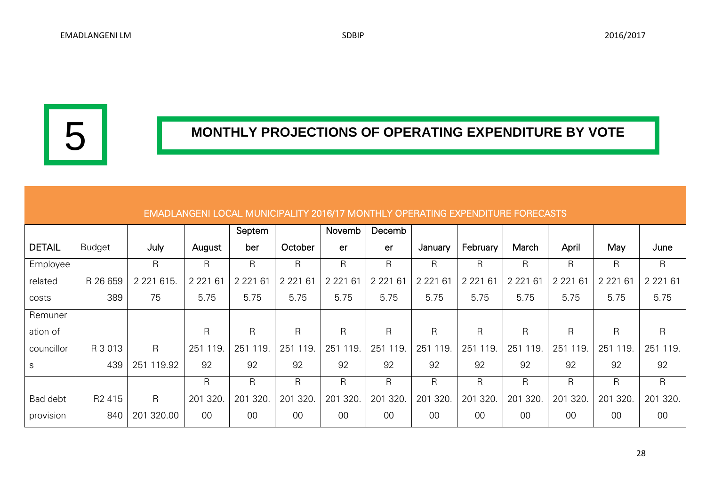5

# **MONTHLY PROJECTIONS OF OPERATING EXPENDITURE BY VOTE**

|               |                    |                |             | Septem       |             | Novemb      | Decemb      |              |               |              |              |              |             |
|---------------|--------------------|----------------|-------------|--------------|-------------|-------------|-------------|--------------|---------------|--------------|--------------|--------------|-------------|
| <b>DETAIL</b> | <b>Budget</b>      | July           | August      | ber          | October     | er          | er          | January      | February      | March        | April        | May          | June        |
| Employee      |                    | $\mathsf{R}$   | R           | $\mathsf{R}$ | R           | R           | R           | R            | R             | $\mathsf{R}$ | $\mathsf{R}$ | $\mathsf{R}$ | R           |
| related       | R 26 659           | 2 2 2 1 6 1 5. | 2 2 2 1 6 1 | 2 2 2 1 6 1  | 2 2 2 1 6 1 | 2 2 2 1 6 1 | 2 2 2 1 6 1 | 2 2 2 1 6 1  | 2 2 2 1<br>61 | 2 2 2 1 6 1  | 2 2 2 1 6 1  | 2 2 2 1 6 1  | 2 2 2 1 6 1 |
| costs         | 389                | 75             | 5.75        | 5.75         | 5.75        | 5.75        | 5.75        | 5.75         | 5.75          | 5.75         | 5.75         | 5.75         | 5.75        |
| Remuner       |                    |                |             |              |             |             |             |              |               |              |              |              |             |
| ation of      |                    |                | R           | $\mathsf{R}$ | R           | R           | R           | R            | $\mathsf{R}$  | $\mathsf{R}$ | R            | R.           | R.          |
| councillor    | R 3 013            | $\mathsf{R}$   | 251<br>119. | 251<br>119.  | 251 119     | 251<br>119. | 251<br>119  | 251<br>119.  | 251<br>119.   | 251<br>119.  | 251<br>119.  | 251 119.     | 251<br>119. |
| $\mathsf S$   | 439                | 251 119.92     | 92          | 92           | 92          | 92          | 92          | 92           | 92            | 92           | 92           | 92           | 92          |
|               |                    |                | R           | $\mathsf{R}$ | R           | R           | R           | $\mathsf{R}$ | R             | R            | $\mathsf{R}$ | $\mathsf{R}$ | R           |
| Bad debt      | R <sub>2</sub> 415 | $\mathsf{R}$   | 320.<br>201 | 320.<br>201  | 201 320     | 201 320     | 201<br>320  | 201 320      | 201 320       | 320.<br>201  | 320.<br>201  | 201 320      | 201 320.    |
| provision     | 840                | 201 320.00     | 00          | 00           | 00          | 00          | 00          | 00           | 00            | 00           | 00           | 00           | 00          |

#### EMADLANGENI LOCAL MUNICIPALITY 2016/17 MONTHLY OPERATING EXPENDITURE FORECASTS

28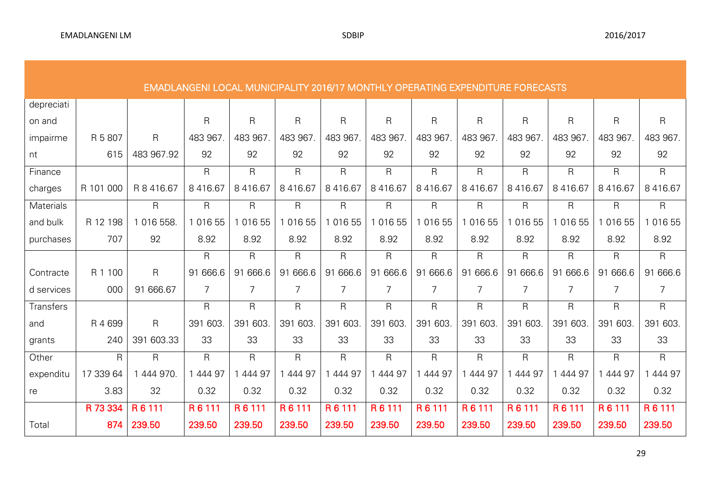|            | <b>EMADLANGENI LOCAL MUNICIPALITY 2016/17 MONTHLY OPERATING EXPENDITURE FORECASTS</b> |              |              |                         |              |              |                |               |              |              |               |               |                |
|------------|---------------------------------------------------------------------------------------|--------------|--------------|-------------------------|--------------|--------------|----------------|---------------|--------------|--------------|---------------|---------------|----------------|
| depreciati |                                                                                       |              |              |                         |              |              |                |               |              |              |               |               |                |
| on and     |                                                                                       |              | $\mathsf{R}$ | $\mathsf{R}$            | $\mathsf{R}$ | $\mathsf{R}$ | $\mathsf{R}$   | $\mathsf{R}$  | $\mathsf R$  | $\mathsf{R}$ | R             | R             | $\mathsf{R}$   |
| impairme   | R 5 807                                                                               | $\mathsf{R}$ | 483 967.     | 483 967.                | 483 967.     | 483 967      | 483 967        | 483 967.      | 483 967.     | 483 967.     | 483 967.      | 483 967       | 483 967.       |
| nt         | 615                                                                                   | 483 967.92   | 92           | 92                      | 92           | 92           | 92             | 92            | 92           | 92           | 92            | 92            | 92             |
| Finance    |                                                                                       |              | $\mathsf{R}$ | $\overline{\mathsf{R}}$ | $\mathsf{R}$ | R            | R              | $\mathsf{R}$  | $\mathsf{R}$ | $\mathsf{R}$ | R             | R             | R              |
| charges    | R 101 000                                                                             | R 8 416.67   | 8 4 1 6.67   | 8 416.67                | 8 4 1 6.67   | 8416.67      | 8 4 1 6.67     | 8 4 1 6 . 6 7 | 8 416.67     | 8 4 1 6.67   | 8 4 1 6 . 6 7 | 8 4 1 6 . 6 7 | 8 4 1 6 . 6 7  |
| Materials  |                                                                                       | $\mathsf{R}$ | $\mathsf{R}$ | $\mathsf R$             | $\mathsf R$  | R            | $\mathsf R$    | $\mathsf{R}$  | $\mathsf{R}$ | $\mathsf{R}$ | R             | R             | $\mathsf{R}$   |
| and bulk   | R 12 198                                                                              | 1 016 558.   | 1 0 1 6 5 5  | 1 016 55                | 016 55       | 1 0 1 6 5 5  | 1 0 1 6 5 5    | 016 55        | 016 55       | 1 0 1 6 5 5  | 016 55        | 016 55        | 1 016 55       |
| purchases  | 707                                                                                   | 92           | 8.92         | 8.92                    | 8.92         | 8.92         | 8.92           | 8.92          | 8.92         | 8.92         | 8.92          | 8.92          | 8.92           |
|            |                                                                                       |              | $\mathsf{R}$ | $\mathsf{R}$            | $\mathsf{R}$ | R            | $\mathsf{R}$   | $\mathsf R$   | $\mathsf{R}$ | $\mathsf{R}$ | R             | R             | $\mathsf{R}$   |
| Contracte  | R 1 100                                                                               | $\mathsf{R}$ | 91 666.6     | 91 666.6                | 91 666.6     | 91 666.6     | 91 666.6       | 91 666.6      | 91 666.6     | 91 666.6     | 91 666.6      | 91 666.6      | 91 666.6       |
| d services | 000                                                                                   | 91 666.67    | 7            | 7                       | 7            | 7            | $\overline{7}$ | 7             | 7            | 7            | 7             | 7             | $\overline{7}$ |
| Transfers  |                                                                                       |              | $\mathsf{R}$ | $\mathsf{R}$            | $\mathsf{R}$ | $\mathsf{R}$ | $\mathsf{R}$   | $\mathsf{R}$  | $\mathsf{R}$ | $\mathsf{R}$ | R.            | R.            | R              |
| and        | R 4 699                                                                               | $\mathsf{R}$ | 391 603.     | 391 603                 | 391 603.     | 391 603      | 391 603        | 391 603.      | 391 603.     | 391 603.     | 391 603.      | 391 603       | 391 603.       |
| grants     | 240                                                                                   | 391 603.33   | 33           | 33                      | 33           | 33           | 33             | 33            | 33           | 33           | 33            | 33            | 33             |
| Other      | $\mathsf{R}$                                                                          | $\mathsf{R}$ | $\mathsf{R}$ | $\mathsf{R}$            | $\mathsf{R}$ | R            | R.             | $\mathsf{R}$  | $\mathsf{R}$ | $\mathsf{R}$ | R.            | R.            | R.             |
| expenditu  | 17 339 64                                                                             | 1 444 970.   | 1 444 97     | 444 97                  | 444 97       | 444 97       | 1 444 97       | 444 97        | 444 97       | 1 444 97     | 444 97        | 444 97        | 444 97         |
| re         | 3.83                                                                                  | 32           | 0.32         | 0.32                    | 0.32         | 0.32         | 0.32           | 0.32          | 0.32         | 0.32         | 0.32          | 0.32          | 0.32           |
|            | R 73 334                                                                              | R6111        | R 6 111      | R 6 111                 | R 6 111      | R 6 111      | R 6 111        | R6111         | R 6 111      | R 6 111      | R 6 111       | R 6 111       | R 6 111        |
| Total      | 874                                                                                   | 239.50       | 239.50       | 239.50                  | 239.50       | 239.50       | 239.50         | 239.50        | 239.50       | 239.50       | 239.50        | 239.50        | 239.50         |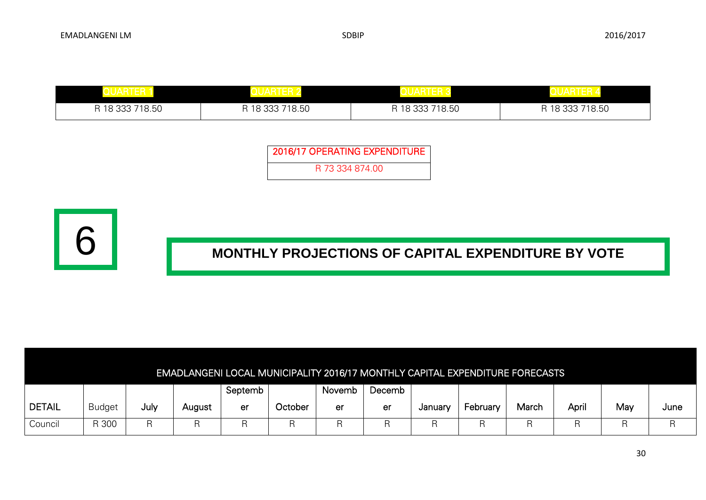| R 18 333 718.50 | R 18 333 718.50 | R 18 333 718.50 | R 18 333 718.50 |
|-----------------|-----------------|-----------------|-----------------|

| 2016/17 OPERATING EXPENDITURE |
|-------------------------------|
| R 73 334 874 00               |



|               |               |      |        |         |                |        |        |         | <b>EMADLANGENI LOCAL MUNICIPALITY 2016/17 MONTHLY CAPITAL EXPENDITURE FORECASTS</b> |       |       |     |      |
|---------------|---------------|------|--------|---------|----------------|--------|--------|---------|-------------------------------------------------------------------------------------|-------|-------|-----|------|
|               |               |      |        | Septemb |                | Novemb | Decemb |         |                                                                                     |       |       |     |      |
| <b>DETAIL</b> | <b>Budget</b> | July | August | er      | <b>October</b> | er     | er     | January | February                                                                            | March | April | May | June |
| Council       | R 300         |      |        |         |                |        |        |         |                                                                                     |       |       |     |      |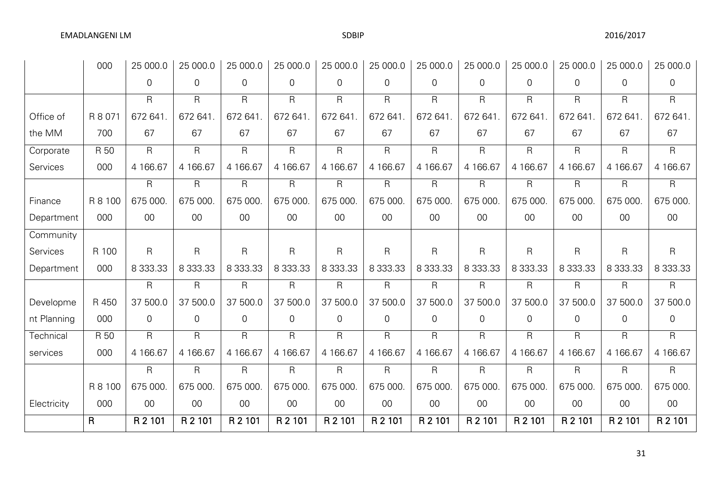|             | 000          | 25 000.0      | 25 000.0     | 25 000.0       | 25 000.0                | 25 000.0       | 25 000.0       | 25 000.0       | 25 000.0       | 25 000.0       | 25 000.0       | 25 000.0       | 25 000.0      |
|-------------|--------------|---------------|--------------|----------------|-------------------------|----------------|----------------|----------------|----------------|----------------|----------------|----------------|---------------|
|             |              | 0             | $\mathbf 0$  | $\overline{0}$ | $\overline{0}$          | $\overline{0}$ | $\Omega$       | $\overline{0}$ | $\overline{0}$ | $\overline{0}$ | $\overline{0}$ | $\overline{0}$ | $\mathbf 0$   |
|             |              | R             | R            | $\mathsf{R}$   | $\mathsf{R}$            | $\mathsf{R}$   | $\mathsf{R}$   | $\mathsf{R}$   | $\mathsf{R}$   | $\mathsf{R}$   | $\mathsf{R}$   | R              | $\mathsf{R}$  |
| Office of   | R 8 071      | 672 641       | 672 641      | 672 641.       | 672 641                 | 672 641        | 672 641.       | 672 641        | 672 641        | 672 641        | 672 641        | 672 641        | 672 641       |
| the MM      | 700          | 67            | 67           | 67             | 67                      | 67             | 67             | 67             | 67             | 67             | 67             | 67             | 67            |
| Corporate   | R 50         | R             | $\mathsf{R}$ | $\mathsf{R}$   | $\mathsf{R}$            | $\mathsf{R}$   | $\mathsf{R}$   | $\mathsf{R}$   | $\mathsf{R}$   | $\mathsf{R}$   | R              | $\mathsf{R}$   | $\mathsf{R}$  |
| Services    | 000          | 4 166.67      | 4 166.67     | 4 166.67       | 4 166.67                | 4 166.67       | 4 166.67       | 4 166.67       | 4 166.67       | 4 166.67       | 4 166.67       | 4 166.67       | 4 166.67      |
|             |              | R             | R            | $\mathsf{R}$   | $\mathsf{R}$            | $\mathsf{R}$   | $\mathsf{R}$   | $\mathsf{R}$   | $\mathsf{R}$   | $\mathsf{R}$   | R              | $\mathsf{R}$   | $\mathsf{R}$  |
| Finance     | R 8 100      | 675 000.      | 675 000.     | 675 000        | 675 000                 | 675 000        | 675 000        | 675 000        | 675 000        | 675 000.       | 675 000.       | 675 000        | 675 000       |
| Department  | 000          | $00\,$        | 00           | 00             | $00\,$                  | $00\,$         | $00\,$         | $00\,$         | $00\,$         | $00\,$         | $00\,$         | $00\,$         | $00\,$        |
| Community   |              |               |              |                |                         |                |                |                |                |                |                |                |               |
| Services    | R 100        | R             | $\mathsf{R}$ | $\mathsf{R}$   | $\overline{\mathsf{R}}$ | $\mathsf{R}$   | $\overline{R}$ | $\mathsf{R}$   | $\mathsf{R}$   | $\overline{R}$ | R              | $\mathsf{R}$   | $\mathsf{R}$  |
| Department  | 000          | 8 3 3 3 . 3 3 | 8 333.33     | 8 333.33       | 8 3 3 3 . 3 3           | 8 3 3 3 . 3 3  | 8 3 3 3 . 3 3  | 8 3 3 3 . 3 3  | 8 3 3 3 . 3 3  | 8 333.33       | 8 333.33       | 8 333.33       | 8 3 3 3 . 3 3 |
|             |              | R             | $\mathsf{R}$ | $\mathsf{R}$   | $\mathsf{R}$            | $\mathsf{R}$   | $\mathsf{R}$   | $\mathsf{R}$   | $\mathsf{R}$   | $\mathsf{R}$   | R              | $\mathsf{R}$   | $\mathsf{R}$  |
| Developme   | R 450        | 37 500.0      | 37 500.0     | 37 500.0       | 37 500.0                | 37 500.0       | 37 500.0       | 37 500.0       | 37 500.0       | 37 500.0       | 37 500.0       | 37 500.0       | 37 500.0      |
| nt Planning | 000          | 0             | 0            | $\overline{0}$ | 0                       | $\overline{0}$ | $\overline{0}$ | 0              | $\overline{0}$ | $\mathbf 0$    | 0              | $\mathsf{O}$   | 0             |
| Technical   | R 50         | R             | R            | $\mathsf{R}$   | $\mathsf{R}$            | $\mathsf{R}$   | $\mathsf{R}$   | $\mathsf{R}$   | $\mathsf{R}$   | $\mathsf{R}$   | R              | R              | $\mathsf{R}$  |
| services    | 000          | 4 166.67      | 4 166.67     | 4 166.67       | 4 166.67                | 4 166.67       | 4 166.67       | 4 166.67       | 4 166.67       | 4 166.67       | 4 166.67       | 4 166.67       | 4 166.67      |
|             |              | R             | R            | $\mathsf{R}$   | $\mathsf{R}$            | $\mathsf{R}$   | $\mathsf{R}$   | $\mathsf{R}$   | $\mathsf{R}$   | $\mathsf{R}$   | R              | $\mathsf{R}$   | $\mathsf{R}$  |
|             | R 8 100      | 675 000.      | 675 000.     | 675 000.       | 675 000                 | 675 000        | 675 000.       | 675 000        | 675 000.       | 675 000.       | 675 000.       | 675 000        | 675 000.      |
| Electricity | 000          | $00\,$        | $00\,$       | $00\,$         | $00\,$                  | $00\,$         | $00\,$         | $00\,$         | $00\,$         | $00\,$         | $00\,$         | $00\,$         | $00\,$        |
|             | $\mathsf{R}$ | R 2 101       | R 2 101      | R 2 101        | R 2 101                 | R 2 101        | R 2 101        | R 2 101        | R 2 101        | R 2 101        | R 2 101        | R 2 101        | R 2 101       |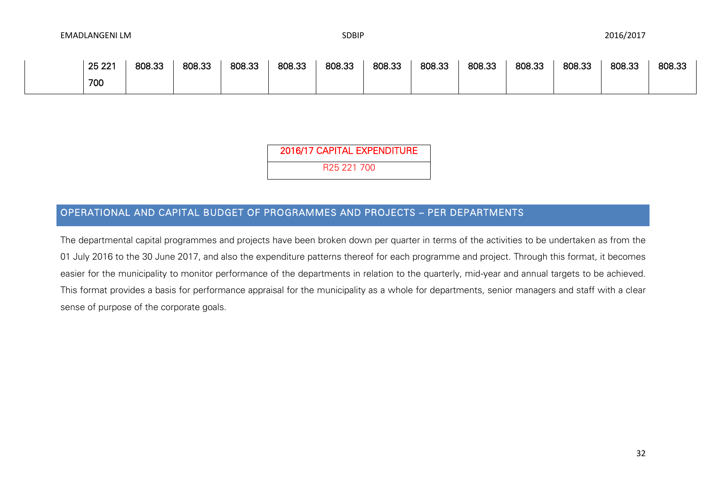| 25 221 | 808.33 | 808.33 | 808.33 | 808.33 | 808.33 | 808.33 | 808.33 | 808.33 | 808.33 | 808.33 | 808.33 | 808.33 |
|--------|--------|--------|--------|--------|--------|--------|--------|--------|--------|--------|--------|--------|
| 700    |        |        |        |        |        |        |        |        |        |        |        |        |

2016/17 CAPITAL EXPENDITURE

R25 221 700

## OPERATIONAL AND CAPITAL BUDGET OF PROGRAMMES AND PROJECTS – PER DEPARTMENTS

The departmental capital programmes and projects have been broken down per quarter in terms of the activities to be undertaken as from the 01 July 2016 to the 30 June 2017, and also the expenditure patterns thereof for each programme and project. Through this format, it becomes easier for the municipality to monitor performance of the departments in relation to the quarterly, mid-year and annual targets to be achieved. This format provides a basis for performance appraisal for the municipality as a whole for departments, senior managers and staff with a clear sense of purpose of the corporate goals.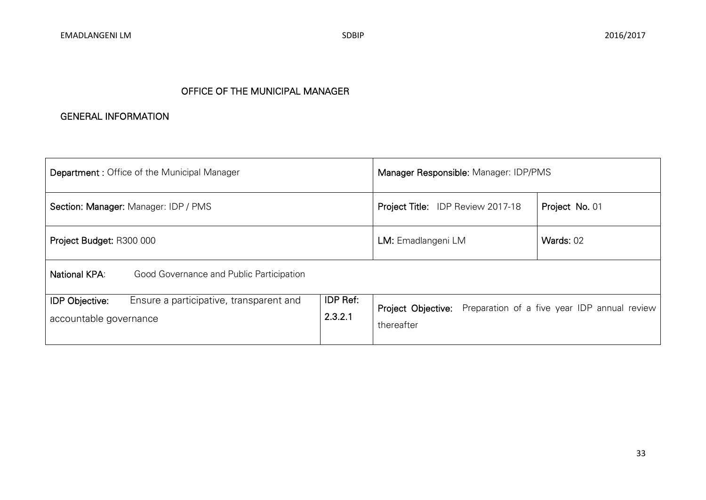## OFFICE OF THE MUNICIPAL MANAGER

#### GENERAL INFORMATION

| <b>Department: Office of the Municipal Manager</b>                                         | Manager Responsible: Manager: IDP/PMS                                                |  |  |  |
|--------------------------------------------------------------------------------------------|--------------------------------------------------------------------------------------|--|--|--|
| Section: Manager: Manager: IDP / PMS                                                       | Project No. 01<br>Project Title: IDP Review 2017-18                                  |  |  |  |
| Project Budget: R300 000                                                                   | Wards: 02<br>LM: Emadlangeni LM                                                      |  |  |  |
| National KPA:<br>Good Governance and Public Participation                                  |                                                                                      |  |  |  |
| <b>IDP Objective:</b><br>Ensure a participative, transparent and<br>accountable governance | <b>Project Objective:</b> Preparation of a five year IDP annual review<br>thereafter |  |  |  |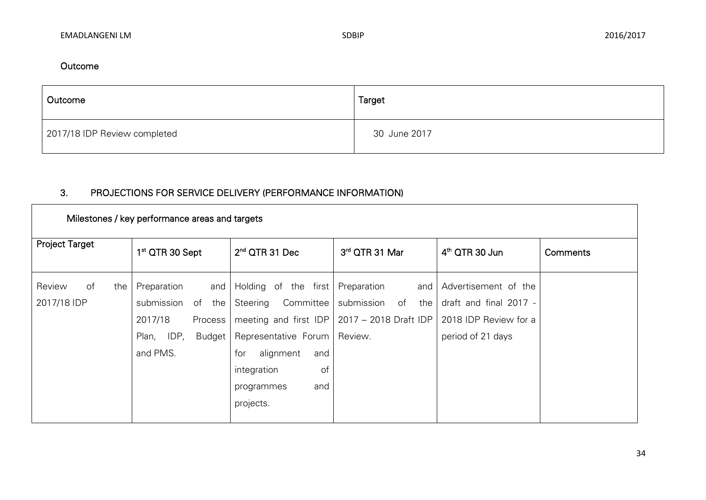۰

## Outcome

**T** 

| Outcome                      | Target       |
|------------------------------|--------------|
| 2017/18 IDP Review completed | 30 June 2017 |

# 3. PROJECTIONS FOR SERVICE DELIVERY (PERFORMANCE INFORMATION)

| Milestones / key performance areas and targets |                                                                                                              |                                                                                                                                                                   |                                                                                                              |                                                                                              |          |  |  |  |  |  |
|------------------------------------------------|--------------------------------------------------------------------------------------------------------------|-------------------------------------------------------------------------------------------------------------------------------------------------------------------|--------------------------------------------------------------------------------------------------------------|----------------------------------------------------------------------------------------------|----------|--|--|--|--|--|
| <b>Project Target</b>                          | 1 <sup>st</sup> QTR 30 Sept                                                                                  | $2nd$ QTR 31 Dec                                                                                                                                                  | 3rd QTR 31 Mar                                                                                               | $4th$ QTR 30 Jun                                                                             | Comments |  |  |  |  |  |
| of<br>Review<br>the<br>2017/18 IDP             | Preparation<br>and<br>submission<br>the<br>of<br>2017/18<br>Process<br>IDP,<br>Budget  <br>Plan,<br>and PMS. | Holding of the first<br>Committee<br>Steering<br>Representative Forum   Review.<br>for<br>alignment<br>and<br>of<br>integration<br>and<br>programmes<br>projects. | Preparation<br>and<br>submission<br>of<br>the<br>meeting and first IDP $\vert$ 2017 – 2018 Draft IDP $\vert$ | Advertisement of the<br>draft and final 2017 -<br>2018 IDP Review for a<br>period of 21 days |          |  |  |  |  |  |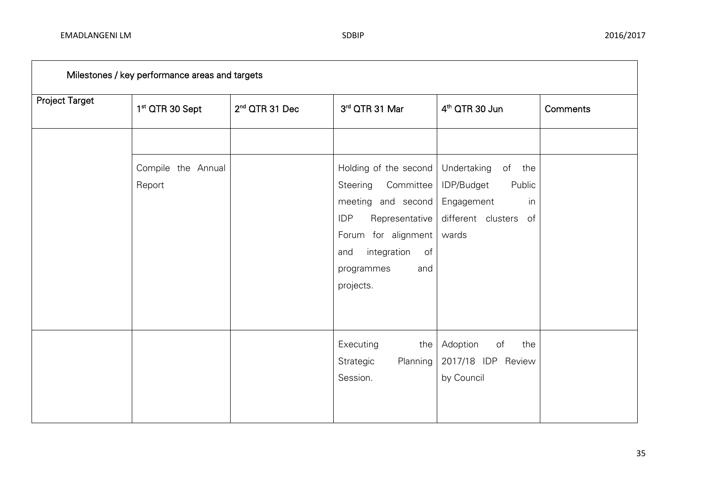| Milestones / key performance areas and targets |                              |                            |                                                                                                                                                                                           |                                                                                                           |                 |  |  |  |  |  |  |
|------------------------------------------------|------------------------------|----------------------------|-------------------------------------------------------------------------------------------------------------------------------------------------------------------------------------------|-----------------------------------------------------------------------------------------------------------|-----------------|--|--|--|--|--|--|
| <b>Project Target</b>                          | 1 <sup>st</sup> QTR 30 Sept  | 2 <sup>nd</sup> QTR 31 Dec | 3rd QTR 31 Mar                                                                                                                                                                            | 4 <sup>th</sup> QTR 30 Jun                                                                                | <b>Comments</b> |  |  |  |  |  |  |
|                                                |                              |                            |                                                                                                                                                                                           |                                                                                                           |                 |  |  |  |  |  |  |
|                                                | Compile the Annual<br>Report |                            | Holding of the second<br>Committee<br>Steering<br>meeting and second<br><b>IDP</b><br>Representative<br>Forum for alignment<br>integration<br>of<br>and<br>programmes<br>and<br>projects. | Undertaking<br>of<br>the<br>IDP/Budget<br>Public<br>Engagement<br>in<br>different clusters<br>of<br>wards |                 |  |  |  |  |  |  |
|                                                |                              |                            | Executing<br>the $ $<br>Strategic<br>Planning<br>Session.                                                                                                                                 | Adoption<br>of<br>the<br>2017/18 IDP Review<br>by Council                                                 |                 |  |  |  |  |  |  |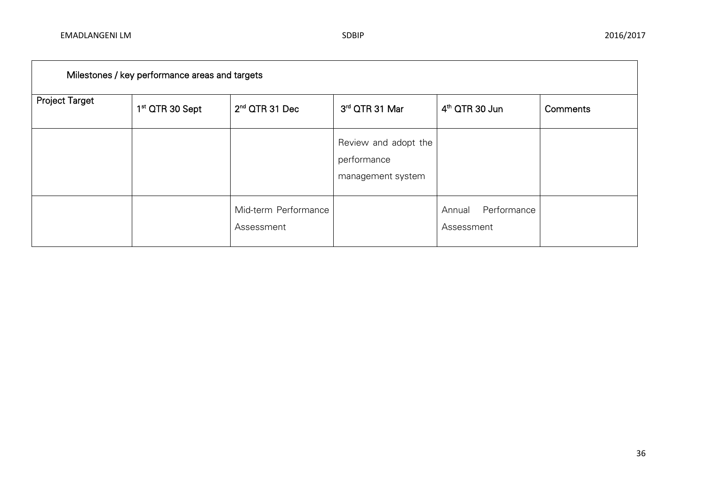| Milestones / key performance areas and targets |                             |                                    |                                                          |                                     |          |
|------------------------------------------------|-----------------------------|------------------------------------|----------------------------------------------------------|-------------------------------------|----------|
| <b>Project Target</b>                          | 1 <sup>st</sup> QTR 30 Sept | $2nd$ QTR 31 Dec                   | 3rd QTR 31 Mar                                           | $4th$ QTR 30 Jun                    | Comments |
|                                                |                             |                                    | Review and adopt the<br>performance<br>management system |                                     |          |
|                                                |                             | Mid-term Performance<br>Assessment |                                                          | Performance<br>Annual<br>Assessment |          |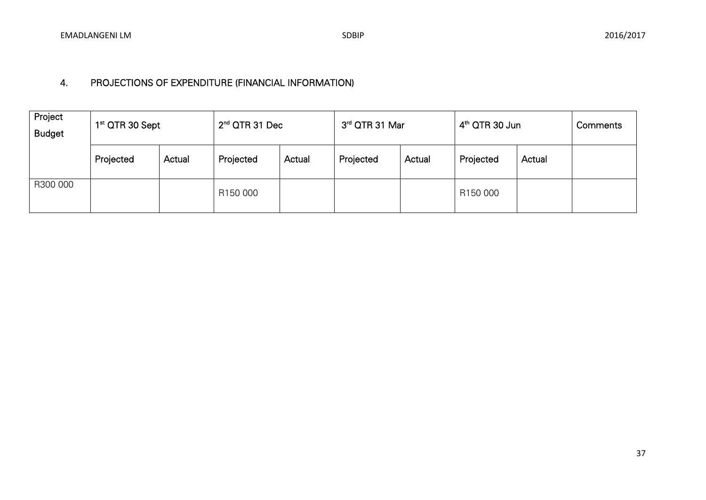# 4. PROJECTIONS OF EXPENDITURE (FINANCIAL INFORMATION)

| Project<br><b>Budget</b> | 1 <sup>st</sup> QTR 30 Sept |        | $2nd$ QTR 31 Dec |        | 3rd QTR 31 Mar |        | $4th$ QTR 30 Jun |        | Comments |
|--------------------------|-----------------------------|--------|------------------|--------|----------------|--------|------------------|--------|----------|
|                          | Projected                   | Actual | Projected        | Actual | Projected      | Actual | Projected        | Actual |          |
| R300 000                 |                             |        | R150 000         |        |                |        | R150 000         |        |          |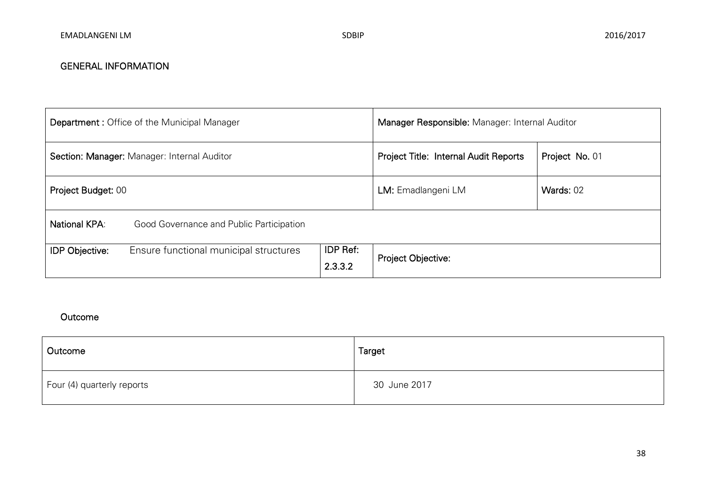| <b>Department: Office of the Municipal Manager</b> |                                          |                     | Manager Responsible: Manager: Internal Auditor |                |  |
|----------------------------------------------------|------------------------------------------|---------------------|------------------------------------------------|----------------|--|
| Section: Manager: Manager: Internal Auditor        |                                          |                     | <b>Project Title: Internal Audit Reports</b>   | Project No. 01 |  |
| Project Budget: 00                                 |                                          |                     | LM: Emadlangeni LM                             | Wards: 02      |  |
| National KPA:                                      | Good Governance and Public Participation |                     |                                                |                |  |
| <b>IDP Objective:</b>                              | Ensure functional municipal structures   | IDP Ref:<br>2.3.3.2 | Project Objective:                             |                |  |

| Outcome                    | <b>Target</b> |
|----------------------------|---------------|
| Four (4) quarterly reports | 30 June 2017  |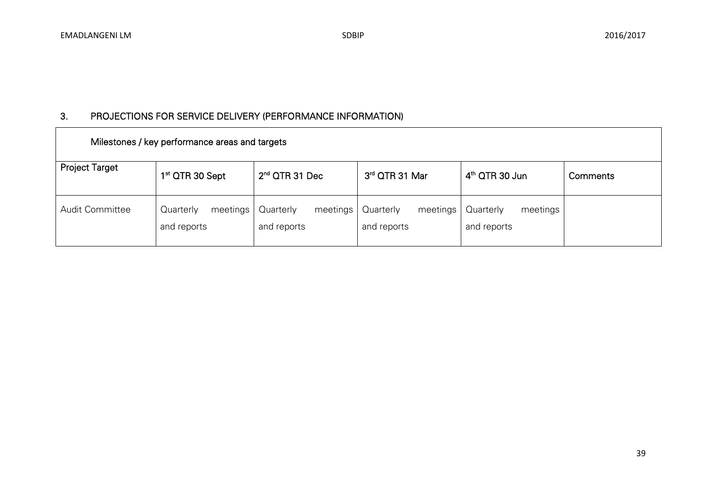| Milestones / key performance areas and targets |                                      |                                      |                                      |                                      |          |  |
|------------------------------------------------|--------------------------------------|--------------------------------------|--------------------------------------|--------------------------------------|----------|--|
| <b>Project Target</b>                          | 1 <sup>st</sup> QTR 30 Sept          | $2nd$ QTR 31 Dec                     | 3rd QTR 31 Mar                       | $4th$ QTR 30 Jun                     | Comments |  |
| Audit Committee                                | meetings<br>Quarterly<br>and reports | Quarterly<br>meetings<br>and reports | Quarterly<br>meetings<br>and reports | meetings<br>Quarterly<br>and reports |          |  |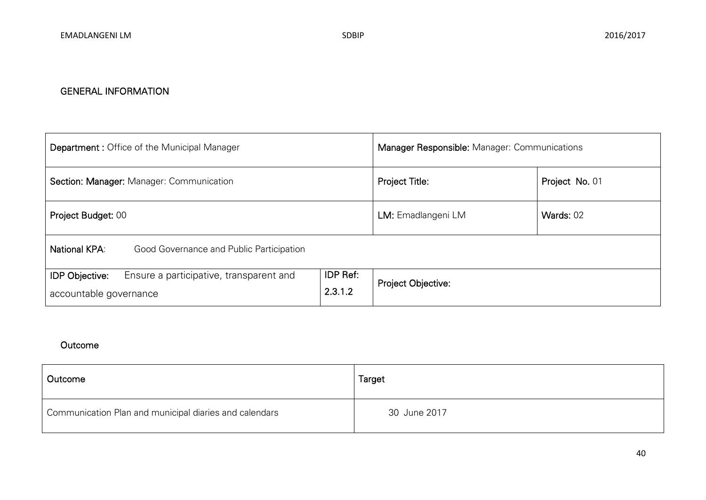| <b>Department: Office of the Municipal Manager</b>                                                                | Manager Responsible: Manager: Communications |                    |  |
|-------------------------------------------------------------------------------------------------------------------|----------------------------------------------|--------------------|--|
| Section: Manager: Manager: Communication                                                                          | Project Title:                               | Project No. 01     |  |
| Project Budget: 00                                                                                                | LM: Emadlangeni LM                           | Wards: 02          |  |
| <b>National KPA:</b><br>Good Governance and Public Participation                                                  |                                              |                    |  |
| IDP Ref:<br>Ensure a participative, transparent and<br><b>IDP Objective:</b><br>2.3.1.2<br>accountable governance |                                              | Project Objective: |  |

| Outcome                                                | Target       |
|--------------------------------------------------------|--------------|
| Communication Plan and municipal diaries and calendars | 30 June 2017 |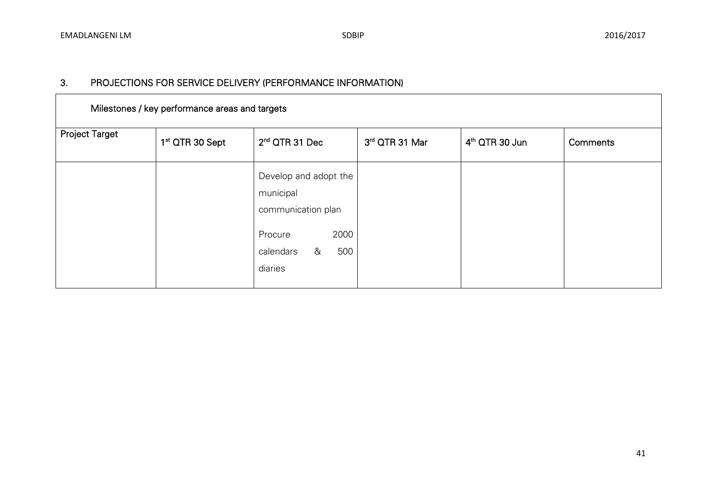| Milestones / key performance areas and targets |                             |                                                                                                                 |                |                  |                 |  |  |
|------------------------------------------------|-----------------------------|-----------------------------------------------------------------------------------------------------------------|----------------|------------------|-----------------|--|--|
| <b>Project Target</b>                          | 1 <sup>st</sup> QTR 30 Sept | $2nd$ QTR 31 Dec                                                                                                | 3rd QTR 31 Mar | $4th$ QTR 30 Jun | <b>Comments</b> |  |  |
|                                                |                             | Develop and adopt the<br>municipal<br>communication plan<br>2000<br>Procure<br>&<br>500<br>calendars<br>diaries |                |                  |                 |  |  |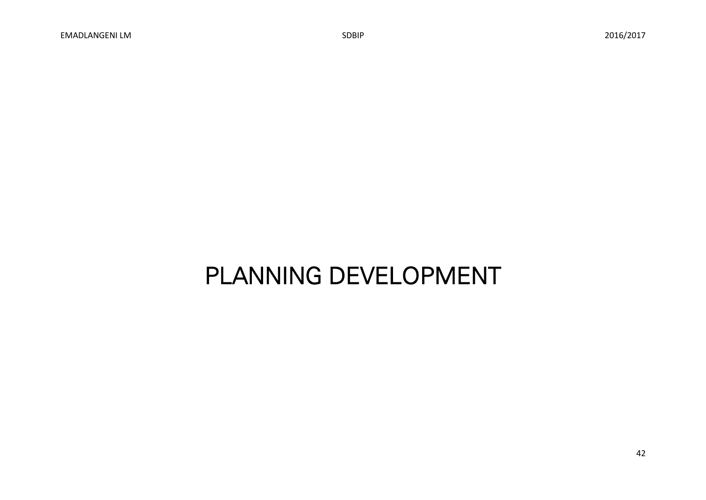# PLANNING DEVELOPMENT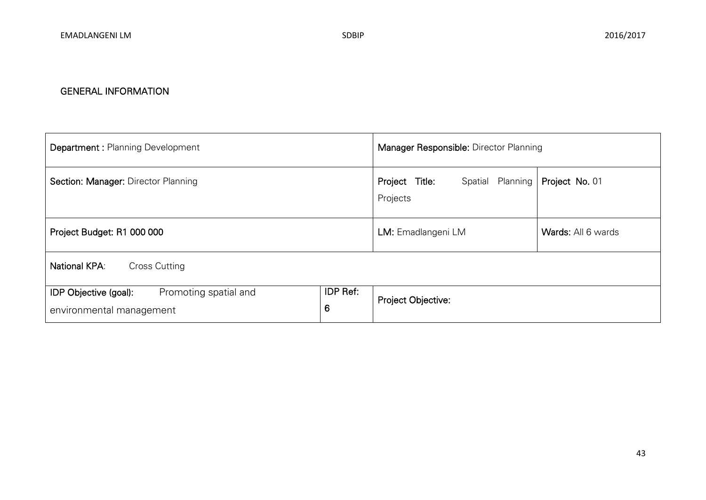| <b>Department: Planning Development</b>                                                     | Manager Responsible: Director Planning               |                    |  |  |
|---------------------------------------------------------------------------------------------|------------------------------------------------------|--------------------|--|--|
| Section: Manager: Director Planning                                                         | Title:<br>Planning<br>Project<br>Spatial<br>Projects | Project No. 01     |  |  |
| Project Budget: R1 000 000                                                                  | LM: Emadlangeni LM                                   | Wards: All 6 wards |  |  |
| <b>National KPA:</b><br><b>Cross Cutting</b>                                                |                                                      |                    |  |  |
| IDP Ref:<br>Promoting spatial and<br>IDP Objective (goal):<br>6<br>environmental management |                                                      | Project Objective: |  |  |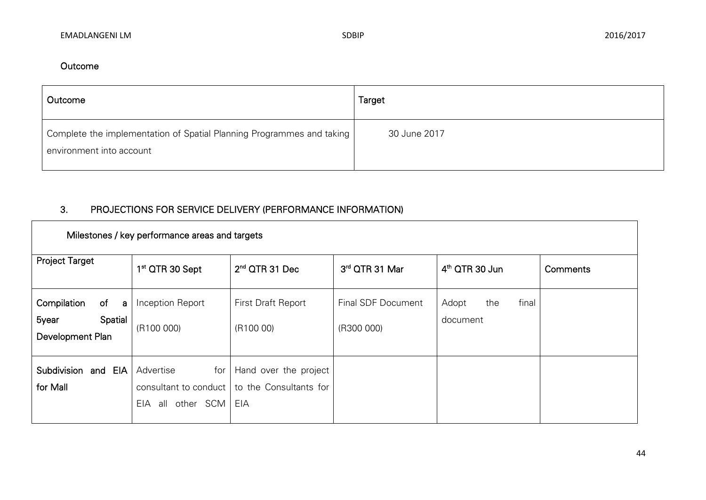### Outcome

| Outcome                                                                                             | Target       |
|-----------------------------------------------------------------------------------------------------|--------------|
| Complete the implementation of Spatial Planning Programmes and taking  <br>environment into account | 30 June 2017 |

| Milestones / key performance areas and targets                              |                                                                      |                                                        |                                  |                                   |          |  |  |
|-----------------------------------------------------------------------------|----------------------------------------------------------------------|--------------------------------------------------------|----------------------------------|-----------------------------------|----------|--|--|
| <b>Project Target</b>                                                       | 1 <sup>st</sup> QTR 30 Sept                                          | $2nd$ QTR 31 Dec                                       | 3rd QTR 31 Mar                   | 4 <sup>th</sup> QTR 30 Jun        | Comments |  |  |
| Compilation<br>of<br>$\overline{a}$<br>Spatial<br>5year<br>Development Plan | Inception Report<br>(R100 000)                                       | <b>First Draft Report</b><br>(R100 00)                 | Final SDF Document<br>(R300 000) | final<br>Adopt<br>the<br>document |          |  |  |
| Subdivision<br>and EIA<br>for Mall                                          | Advertise<br>for<br>consultant to conduct<br>other SCM<br>all<br>EIA | Hand over the project<br>to the Consultants for<br>EIA |                                  |                                   |          |  |  |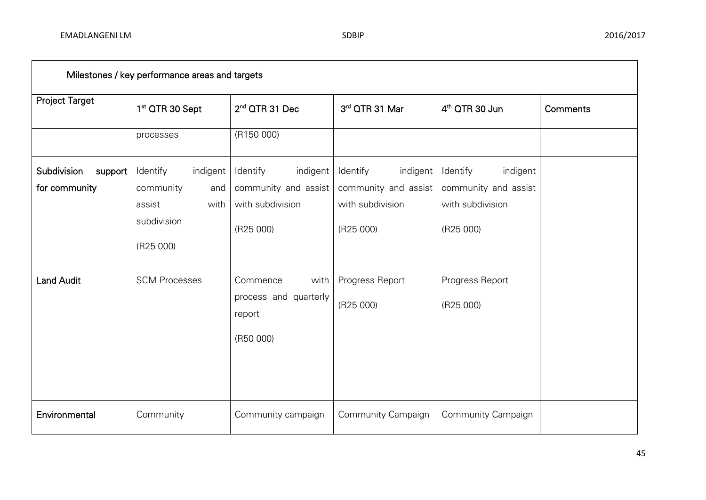| Milestones / key performance areas and targets |                                                                                        |                                                                               |                                                                               |                                                                               |          |  |  |
|------------------------------------------------|----------------------------------------------------------------------------------------|-------------------------------------------------------------------------------|-------------------------------------------------------------------------------|-------------------------------------------------------------------------------|----------|--|--|
| Project Target                                 | 1 <sup>st</sup> QTR 30 Sept                                                            | 2 <sup>nd</sup> QTR 31 Dec                                                    | 3rd QTR 31 Mar                                                                | 4 <sup>th</sup> QTR 30 Jun                                                    | Comments |  |  |
|                                                | processes                                                                              | (R150 000)                                                                    |                                                                               |                                                                               |          |  |  |
| Subdivision<br>support<br>for community        | Identify<br>indigent<br>community<br>and<br>assist<br>with<br>subdivision<br>(R25 000) | indigent<br>Identify<br>community and assist<br>with subdivision<br>(R25 000) | indigent<br>Identify<br>community and assist<br>with subdivision<br>(R25 000) | Identify<br>indigent<br>community and assist<br>with subdivision<br>(R25 000) |          |  |  |
| <b>Land Audit</b>                              | <b>SCM Processes</b>                                                                   | Commence<br>with<br>process and quarterly<br>report<br>(R50 000)              | Progress Report<br>(R25 000)                                                  | Progress Report<br>(R25 000)                                                  |          |  |  |
| Environmental                                  | Community                                                                              | Community campaign                                                            | Community Campaign                                                            | Community Campaign                                                            |          |  |  |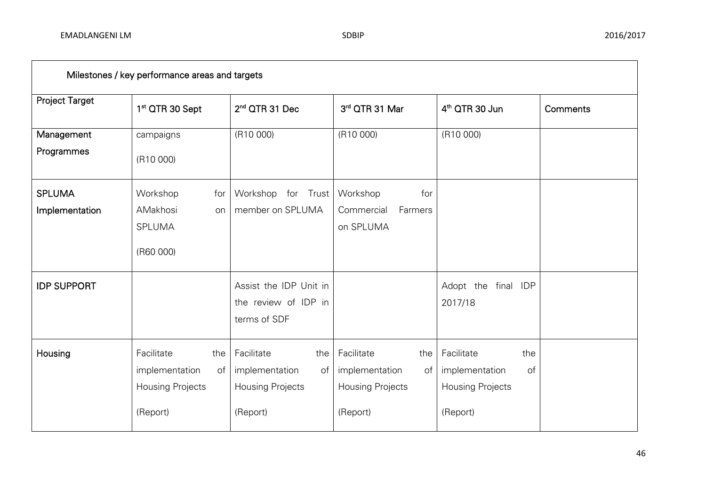| Milestones / key performance areas and targets |                             |                            |                        |                            |          |  |  |
|------------------------------------------------|-----------------------------|----------------------------|------------------------|----------------------------|----------|--|--|
| <b>Project Target</b>                          | 1 <sup>st</sup> QTR 30 Sept | 2 <sup>nd</sup> QTR 31 Dec | 3rd QTR 31 Mar         | 4 <sup>th</sup> QTR 30 Jun | Comments |  |  |
| Management                                     | campaigns                   | (R10 000)                  | (R10 000)              | (R10 000)                  |          |  |  |
| Programmes                                     | (R10 000)                   |                            |                        |                            |          |  |  |
| <b>SPLUMA</b>                                  | Workshop<br>for             | Workshop for Trust         | Workshop<br>for        |                            |          |  |  |
| Implementation                                 | AMakhosi<br>on              | member on SPLUMA           | Commercial<br>Farmers  |                            |          |  |  |
|                                                | <b>SPLUMA</b>               |                            | on SPLUMA              |                            |          |  |  |
|                                                | (R60 000)                   |                            |                        |                            |          |  |  |
| <b>IDP SUPPORT</b>                             |                             | Assist the IDP Unit in     |                        | Adopt the final IDP        |          |  |  |
|                                                |                             | the review of IDP in       |                        | 2017/18                    |          |  |  |
|                                                |                             | terms of SDF               |                        |                            |          |  |  |
| Housing                                        | Facilitate<br>the           | Facilitate<br>the          | Facilitate<br>the      | Facilitate<br>the          |          |  |  |
|                                                | implementation<br>of        | implementation<br>of       | implementation<br>of I | implementation<br>of       |          |  |  |
|                                                | Housing Projects            | <b>Housing Projects</b>    | Housing Projects       | Housing Projects           |          |  |  |
|                                                | (Report)                    | (Report)                   | (Report)               | (Report)                   |          |  |  |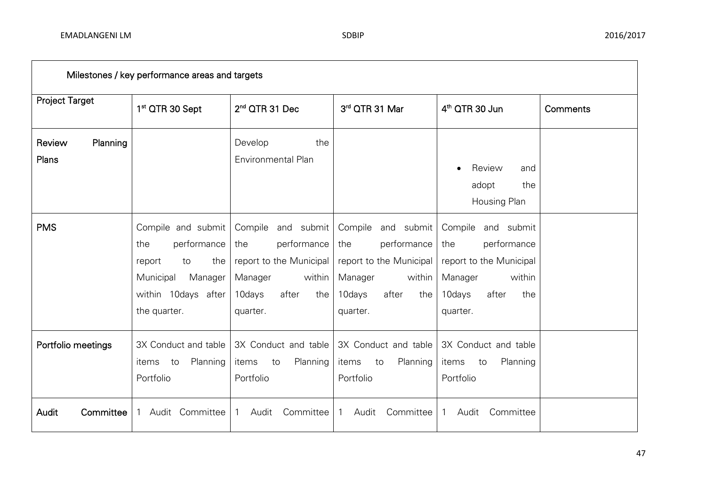| Milestones / key performance areas and targets |                                                                                                                                |                                                                                                                                |                                                                                                                                |                                                                                                                                |          |  |
|------------------------------------------------|--------------------------------------------------------------------------------------------------------------------------------|--------------------------------------------------------------------------------------------------------------------------------|--------------------------------------------------------------------------------------------------------------------------------|--------------------------------------------------------------------------------------------------------------------------------|----------|--|
| <b>Project Target</b>                          | 1 <sup>st</sup> QTR 30 Sept                                                                                                    | 2 <sup>nd</sup> QTR 31 Dec                                                                                                     | 3rd QTR 31 Mar                                                                                                                 | 4 <sup>th</sup> QTR 30 Jun                                                                                                     | Comments |  |
| Review<br>Planning<br>Plans                    |                                                                                                                                | Develop<br>the<br>Environmental Plan                                                                                           |                                                                                                                                | Review<br>and<br>adopt<br>the<br>Housing Plan                                                                                  |          |  |
| <b>PMS</b>                                     | Compile and submit<br>the<br>performance<br>the<br>report<br>to<br>Municipal<br>Manager<br>within 10days after<br>the quarter. | Compile and submit<br>the<br>performance<br>report to the Municipal<br>Manager<br>within<br>after<br>10days<br>the<br>quarter. | Compile and submit<br>performance<br>the<br>report to the Municipal<br>Manager<br>within<br>10days<br>the<br>after<br>quarter. | Compile and submit<br>the<br>performance<br>report to the Municipal<br>Manager<br>within<br>after<br>10days<br>the<br>quarter. |          |  |
| Portfolio meetings                             | 3X Conduct and table<br>Planning<br>items<br>to<br>Portfolio                                                                   | 3X Conduct and table<br>Planning<br>items<br>to<br>Portfolio                                                                   | 3X Conduct and table<br>Planning<br>items<br>to<br>Portfolio                                                                   | 3X Conduct and table<br>Planning<br>items<br>to<br>Portfolio                                                                   |          |  |
| Committee<br>Audit                             | Audit<br>Committee                                                                                                             | Audit<br>Committee<br>1                                                                                                        | Audit<br>Committee<br>1                                                                                                        | Audit<br>Committee                                                                                                             |          |  |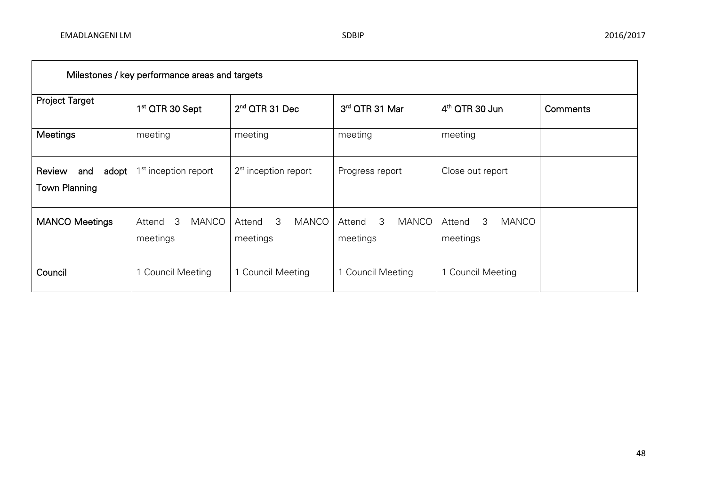| Milestones / key performance areas and targets |                                         |                                         |                                  |                                         |          |  |
|------------------------------------------------|-----------------------------------------|-----------------------------------------|----------------------------------|-----------------------------------------|----------|--|
| <b>Project Target</b>                          | 1 <sup>st</sup> QTR 30 Sept             | 2 <sup>nd</sup> QTR 31 Dec              | 3rd QTR 31 Mar                   | $4th$ QTR 30 Jun                        | Comments |  |
| <b>Meetings</b>                                | meeting                                 | meeting                                 | meeting                          | meeting                                 |          |  |
| Review<br>adopt<br>and<br><b>Town Planning</b> | 1 <sup>st</sup> inception report        | $2st$ inception report                  | Progress report                  | Close out report                        |          |  |
| <b>MANCO Meetings</b>                          | <b>MANCO</b><br>3<br>Attend<br>meetings | 3<br><b>MANCO</b><br>Attend<br>meetings | 3<br>MANCO<br>Attend<br>meetings | <b>MANCO</b><br>Attend<br>3<br>meetings |          |  |
| Council                                        | 1 Council Meeting                       | 1 Council Meeting                       | <b>Council Meeting</b>           | 1 Council Meeting                       |          |  |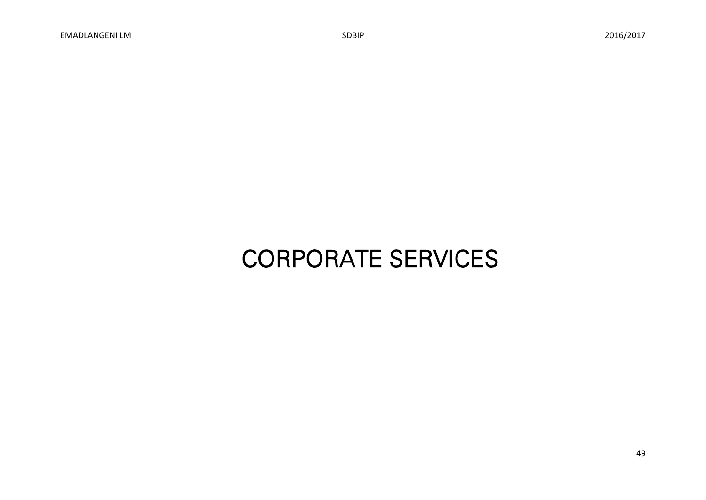# CORPORATE SERVICES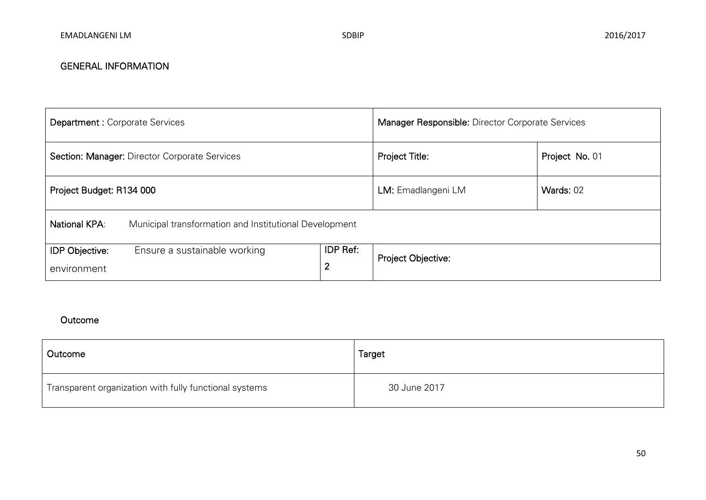| <b>Department: Corporate Services</b>         |                                                        |                                   | <b>Manager Responsible: Director Corporate Services</b> |                |  |
|-----------------------------------------------|--------------------------------------------------------|-----------------------------------|---------------------------------------------------------|----------------|--|
| Section: Manager: Director Corporate Services |                                                        |                                   | Project Title:                                          | Project No. 01 |  |
| Project Budget: R134 000                      |                                                        | LM: Emadlangeni LM                | Wards: 02                                               |                |  |
| National KPA:                                 | Municipal transformation and Institutional Development |                                   |                                                         |                |  |
| <b>IDP Objective:</b><br>environment          | Ensure a sustainable working                           | <b>IDP Ref:</b><br>$\overline{2}$ | Project Objective:                                      |                |  |

| Outcome                                                | Target       |
|--------------------------------------------------------|--------------|
| Transparent organization with fully functional systems | 30 June 2017 |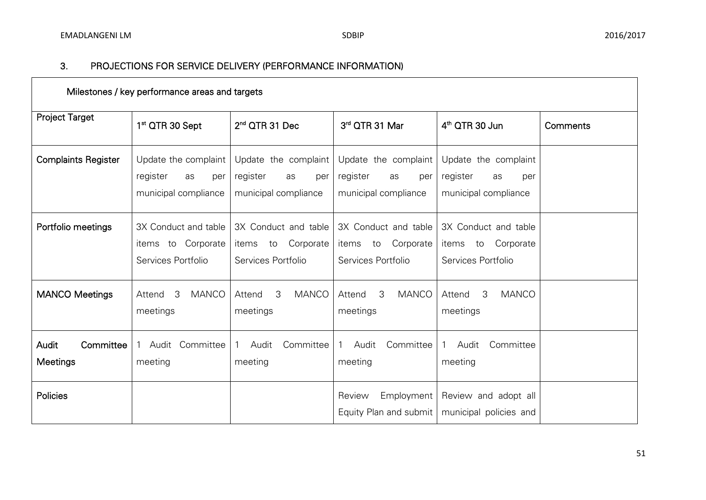| Milestones / key performance areas and targets |                                                                       |                                                                        |                                                                       |                                                                       |          |  |
|------------------------------------------------|-----------------------------------------------------------------------|------------------------------------------------------------------------|-----------------------------------------------------------------------|-----------------------------------------------------------------------|----------|--|
| <b>Project Target</b>                          | 1 <sup>st</sup> QTR 30 Sept                                           | 2 <sup>nd</sup> QTR 31 Dec                                             | 3rd QTR 31 Mar                                                        | 4 <sup>th</sup> QTR 30 Jun                                            | Comments |  |
| <b>Complaints Register</b>                     | Update the complaint<br>register<br>as<br>per<br>municipal compliance | Update the complaint<br>register<br>as<br>per<br>municipal compliance  | Update the complaint<br>register<br>as<br>per<br>municipal compliance | Update the complaint<br>register<br>as<br>per<br>municipal compliance |          |  |
| Portfolio meetings                             | 3X Conduct and table<br>items to Corporate<br>Services Portfolio      | 3X Conduct and table<br>Corporate<br>to<br>items<br>Services Portfolio | 3X Conduct and table<br>items to Corporate<br>Services Portfolio      | 3X Conduct and table<br>Corporate<br>items to<br>Services Portfolio   |          |  |
| <b>MANCO Meetings</b>                          | <b>MANCO</b><br>3<br>Attend<br>meetings                               | 3<br><b>MANCO</b><br>Attend<br>meetings                                | 3<br><b>MANCO</b><br>Attend<br>meetings                               | 3<br><b>MANCO</b><br>Attend<br>meetings                               |          |  |
| Committee<br>Audit<br>Meetings                 | Audit Committee<br>$\mathbf{1}$<br>meeting                            | Committee<br>Audit<br>meeting                                          | Committee<br>Audit<br>1<br>meeting                                    | Audit<br>Committee<br>$\mathbf{1}$<br>meeting                         |          |  |
| Policies                                       |                                                                       |                                                                        | Employment<br>Review<br>Equity Plan and submit                        | Review and adopt all<br>municipal policies and                        |          |  |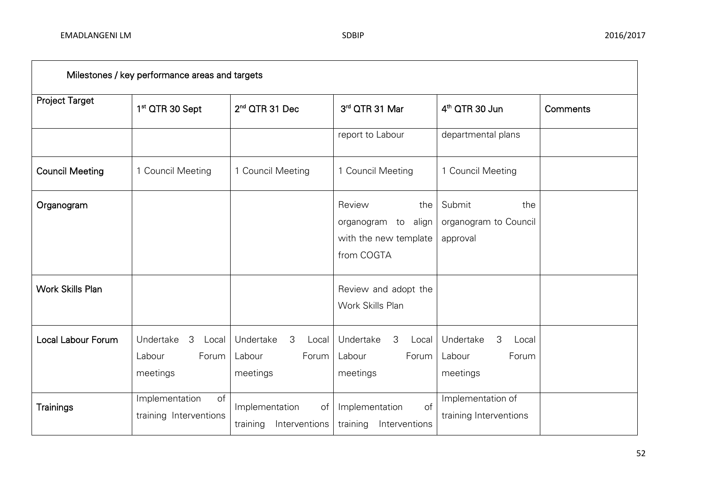| Milestones / key performance areas and targets |                                                        |                                                        |                                                                             |                                                        |          |  |
|------------------------------------------------|--------------------------------------------------------|--------------------------------------------------------|-----------------------------------------------------------------------------|--------------------------------------------------------|----------|--|
| Project Target                                 | 1 <sup>st</sup> QTR 30 Sept                            | 2 <sup>nd</sup> QTR 31 Dec                             | 3rd QTR 31 Mar                                                              | 4 <sup>th</sup> QTR 30 Jun                             | Comments |  |
|                                                |                                                        |                                                        | report to Labour                                                            | departmental plans                                     |          |  |
| <b>Council Meeting</b>                         | 1 Council Meeting                                      | 1 Council Meeting                                      | 1 Council Meeting                                                           | 1 Council Meeting                                      |          |  |
| Organogram                                     |                                                        |                                                        | Review<br>the<br>organogram to align<br>with the new template<br>from COGTA | Submit<br>the<br>organogram to Council<br>approval     |          |  |
| <b>Work Skills Plan</b>                        |                                                        |                                                        | Review and adopt the<br>Work Skills Plan                                    |                                                        |          |  |
| <b>Local Labour Forum</b>                      | Undertake<br>3<br>Local<br>Forum<br>Labour<br>meetings | Undertake<br>3<br>Local<br>Labour<br>Forum<br>meetings | Undertake<br>3<br>Local<br>Labour<br>Forum<br>meetings                      | Undertake<br>3<br>Local<br>Labour<br>Forum<br>meetings |          |  |
| Trainings                                      | Implementation<br>of<br>training Interventions         | Implementation<br>of<br>training<br>Interventions      | of<br>Implementation<br>training<br>Interventions                           | Implementation of<br>training Interventions            |          |  |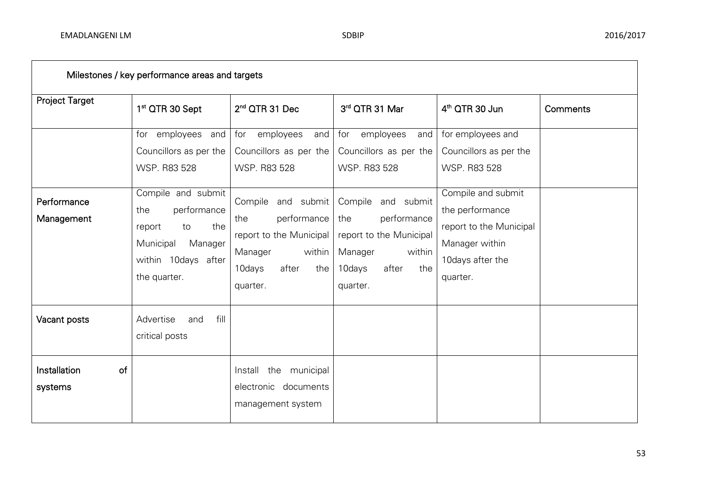| Milestones / key performance areas and targets |                                                                                                                                |                                                                                                                                |                                                                                                                                   |                                                                                                                    |                 |  |
|------------------------------------------------|--------------------------------------------------------------------------------------------------------------------------------|--------------------------------------------------------------------------------------------------------------------------------|-----------------------------------------------------------------------------------------------------------------------------------|--------------------------------------------------------------------------------------------------------------------|-----------------|--|
| <b>Project Target</b>                          | 1 <sup>st</sup> QTR 30 Sept                                                                                                    | 2 <sup>nd</sup> QTR 31 Dec                                                                                                     | 3rd QTR 31 Mar                                                                                                                    | $4th$ QTR 30 Jun                                                                                                   | <b>Comments</b> |  |
|                                                | for employees and<br>Councillors as per the<br>WSP. R83 528                                                                    | employees<br>for<br>and<br>Councillors as per the<br><b>WSP. R83 528</b>                                                       | employees<br>for<br>and<br>Councillors as per the<br>WSP. R83 528                                                                 | for employees and<br>Councillors as per the<br>WSP. R83 528                                                        |                 |  |
| Performance<br>Management                      | Compile and submit<br>performance<br>the<br>the<br>report<br>to<br>Municipal<br>Manager<br>within 10days after<br>the quarter. | Compile and submit<br>performance<br>the<br>report to the Municipal<br>Manager<br>within<br>after<br>10days<br>the<br>quarter. | and submit<br>Compile<br>the<br>performance<br>report to the Municipal<br>Manager<br>within<br>10days<br>after<br>the<br>quarter. | Compile and submit<br>the performance<br>report to the Municipal<br>Manager within<br>10days after the<br>quarter. |                 |  |
| Vacant posts                                   | fill<br>Advertise<br>and<br>critical posts                                                                                     |                                                                                                                                |                                                                                                                                   |                                                                                                                    |                 |  |
| Installation<br>of<br>systems                  |                                                                                                                                | the<br>municipal<br>Install<br>electronic documents<br>management system                                                       |                                                                                                                                   |                                                                                                                    |                 |  |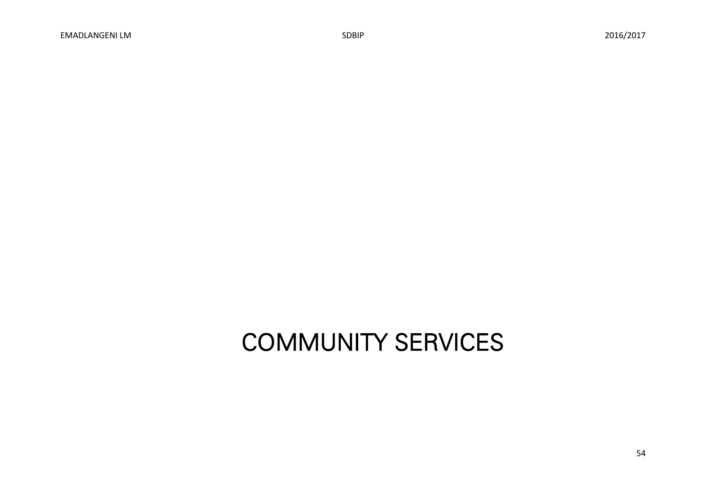# COMMUNITY SERVICES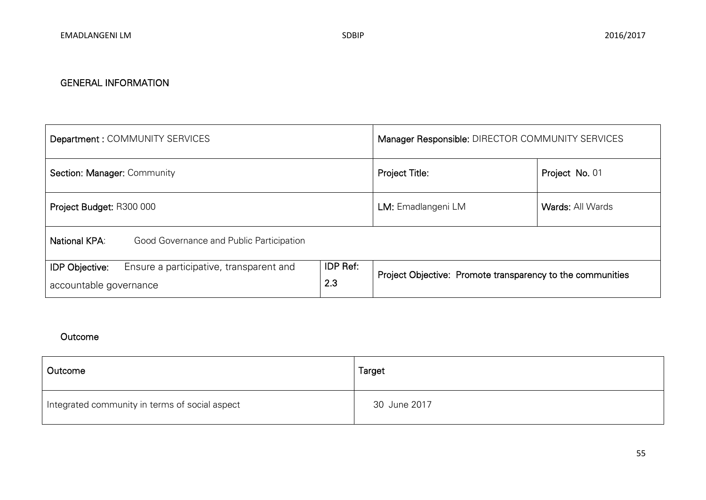| Department: COMMUNITY SERVICES                                                                                       | Manager Responsible: DIRECTOR COMMUNITY SERVICES |                                                            |  |  |  |
|----------------------------------------------------------------------------------------------------------------------|--------------------------------------------------|------------------------------------------------------------|--|--|--|
| Section: Manager: Community                                                                                          | Project Title:                                   | Project No. 01                                             |  |  |  |
| Project Budget: R300 000                                                                                             | LM: Emadlangeni LM                               | <b>Wards: All Wards</b>                                    |  |  |  |
| <b>National KPA:</b><br>Good Governance and Public Participation                                                     |                                                  |                                                            |  |  |  |
| <b>IDP Ref:</b><br>Ensure a participative, transparent and<br><b>IDP Objective:</b><br>2.3<br>accountable governance |                                                  | Project Objective: Promote transparency to the communities |  |  |  |

| Outcome                                        | Target       |
|------------------------------------------------|--------------|
| Integrated community in terms of social aspect | 30 June 2017 |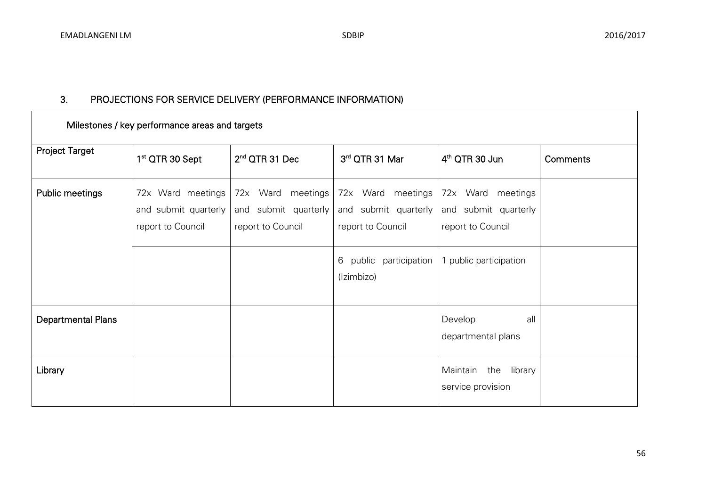| Milestones / key performance areas and targets |                                                                |                                                                |                                                                |                                                                |                 |  |
|------------------------------------------------|----------------------------------------------------------------|----------------------------------------------------------------|----------------------------------------------------------------|----------------------------------------------------------------|-----------------|--|
| <b>Project Target</b>                          | 1 <sup>st</sup> QTR 30 Sept                                    | $2nd$ QTR 31 Dec                                               | 3rd QTR 31 Mar                                                 | 4 <sup>th</sup> QTR 30 Jun                                     | <b>Comments</b> |  |
| Public meetings                                | 72x Ward meetings<br>and submit quarterly<br>report to Council | 72x Ward meetings<br>and submit quarterly<br>report to Council | 72x Ward meetings<br>and submit quarterly<br>report to Council | 72x Ward meetings<br>and submit quarterly<br>report to Council |                 |  |
|                                                |                                                                |                                                                | public<br>participation<br>6<br>(Izimbizo)                     | 1 public participation                                         |                 |  |
| <b>Departmental Plans</b>                      |                                                                |                                                                |                                                                | Develop<br>all<br>departmental plans                           |                 |  |
| Library                                        |                                                                |                                                                |                                                                | Maintain<br>the<br>library<br>service provision                |                 |  |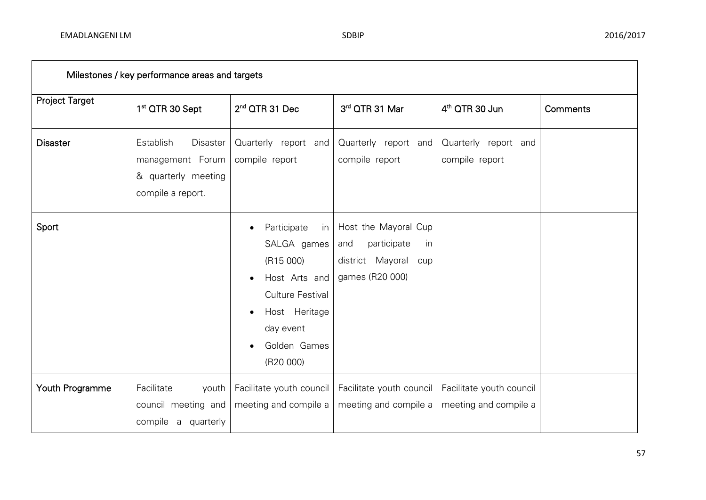| Milestones / key performance areas and targets |                                                                                                     |                                                                                                                                                                    |                                                                                                |                                                   |          |
|------------------------------------------------|-----------------------------------------------------------------------------------------------------|--------------------------------------------------------------------------------------------------------------------------------------------------------------------|------------------------------------------------------------------------------------------------|---------------------------------------------------|----------|
| <b>Project Target</b>                          | 1 <sup>st</sup> QTR 30 Sept                                                                         | 2 <sup>nd</sup> QTR 31 Dec                                                                                                                                         | 3rd QTR 31 Mar                                                                                 | 4 <sup>th</sup> QTR 30 Jun                        | Comments |
| <b>Disaster</b>                                | <b>Establish</b><br><b>Disaster</b><br>management Forum<br>& quarterly meeting<br>compile a report. | Quarterly report and<br>compile report                                                                                                                             | Quarterly report and<br>compile report                                                         | Quarterly report and<br>compile report            |          |
| Sport                                          |                                                                                                     | Participate<br>in I<br>SALGA games<br>(R15000)<br>Host Arts and<br><b>Culture Festival</b><br>Host Heritage<br>$\bullet$<br>day event<br>Golden Games<br>(R20 000) | Host the Mayoral Cup<br>participate<br>and<br>in<br>district Mayoral<br>cup<br>games (R20 000) |                                                   |          |
| Youth Programme                                | Facilitate<br>youth<br>council meeting and<br>compile a quarterly                                   | Facilitate youth council<br>meeting and compile a                                                                                                                  | Facilitate youth council<br>meeting and compile a                                              | Facilitate youth council<br>meeting and compile a |          |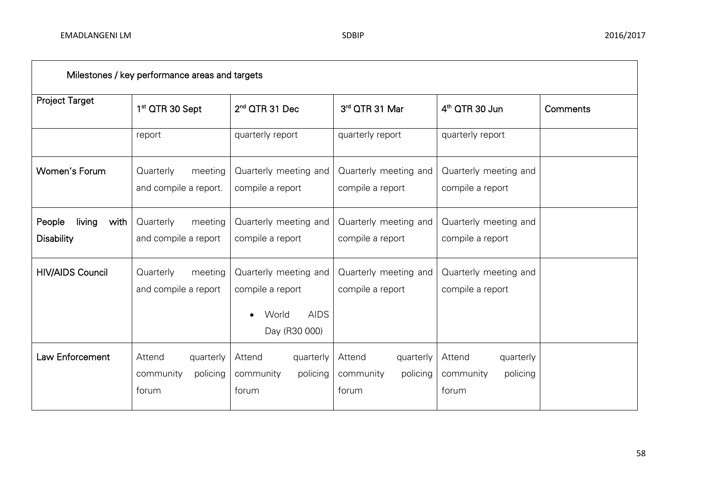| Milestones / key performance areas and targets |                                                       |                                                                                    |                                                       |                                                       |          |  |
|------------------------------------------------|-------------------------------------------------------|------------------------------------------------------------------------------------|-------------------------------------------------------|-------------------------------------------------------|----------|--|
| <b>Project Target</b>                          | 1 <sup>st</sup> QTR 30 Sept                           | $2nd$ QTR 31 Dec                                                                   | 3rd QTR 31 Mar                                        | 4 <sup>th</sup> QTR 30 Jun                            | Comments |  |
|                                                | report                                                | quarterly report                                                                   | quarterly report                                      | quarterly report                                      |          |  |
| Women's Forum                                  | Quarterly<br>meeting<br>and compile a report.         | Quarterly meeting and<br>compile a report                                          | Quarterly meeting and<br>compile a report             | Quarterly meeting and<br>compile a report             |          |  |
| People<br>living<br>with<br><b>Disability</b>  | Quarterly<br>meeting<br>and compile a report          | Quarterly meeting and<br>compile a report                                          | Quarterly meeting and<br>compile a report             | Quarterly meeting and<br>compile a report             |          |  |
| <b>HIV/AIDS Council</b>                        | Quarterly<br>meeting<br>and compile a report          | Quarterly meeting and<br>compile a report<br><b>AIDS</b><br>World<br>Day (R30 000) | Quarterly meeting and<br>compile a report             | Quarterly meeting and<br>compile a report             |          |  |
| Law Enforcement                                | Attend<br>quarterly<br>community<br>policing<br>forum | Attend<br>quarterly<br>community<br>policing<br>forum                              | Attend<br>quarterly<br>community<br>policing<br>forum | Attend<br>quarterly<br>policing<br>community<br>forum |          |  |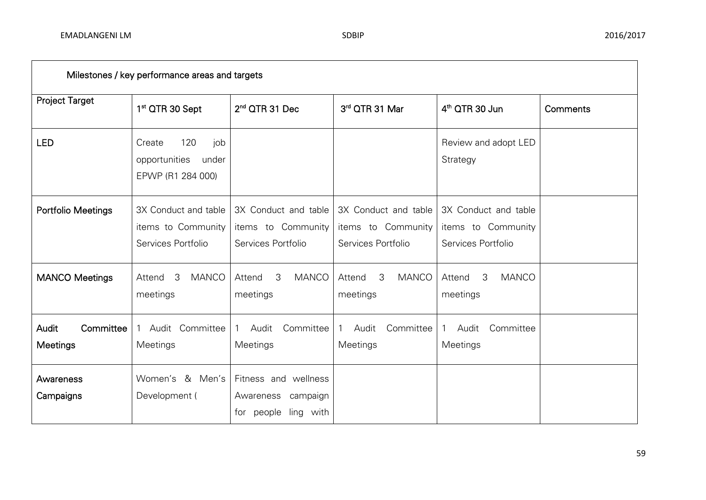| Milestones / key performance areas and targets |                                                                     |                                                                          |                                                                  |                                                                  |          |  |  |  |
|------------------------------------------------|---------------------------------------------------------------------|--------------------------------------------------------------------------|------------------------------------------------------------------|------------------------------------------------------------------|----------|--|--|--|
| <b>Project Target</b>                          | 1 <sup>st</sup> QTR 30 Sept                                         | 2 <sup>nd</sup> QTR 31 Dec                                               | 3rd QTR 31 Mar                                                   | 4 <sup>th</sup> QTR 30 Jun                                       | Comments |  |  |  |
| <b>LED</b>                                     | 120<br>job<br>Create<br>opportunities<br>under<br>EPWP (R1 284 000) |                                                                          |                                                                  | Review and adopt LED<br>Strategy                                 |          |  |  |  |
| <b>Portfolio Meetings</b>                      | 3X Conduct and table<br>items to Community<br>Services Portfolio    | 3X Conduct and table<br>items to Community<br>Services Portfolio         | 3X Conduct and table<br>items to Community<br>Services Portfolio | 3X Conduct and table<br>items to Community<br>Services Portfolio |          |  |  |  |
| <b>MANCO Meetings</b>                          | -3<br><b>MANCO</b><br>Attend<br>meetings                            | 3<br><b>MANCO</b><br>Attend<br>meetings                                  | 3<br><b>MANCO</b><br>Attend<br>meetings                          | 3<br><b>MANCO</b><br>Attend<br>meetings                          |          |  |  |  |
| Audit<br>Committee<br>Meetings                 | Audit Committee<br>Meetings                                         | Committee<br>Audit<br>Meetings                                           | Committee<br>Audit<br>$\mathbf{1}$<br>Meetings                   | Committee<br>Audit<br>Meetings                                   |          |  |  |  |
| Awareness<br>Campaigns                         | & Men's<br>Women's<br>Development (                                 | Fitness and wellness<br>campaign<br>Awareness<br>people ling with<br>for |                                                                  |                                                                  |          |  |  |  |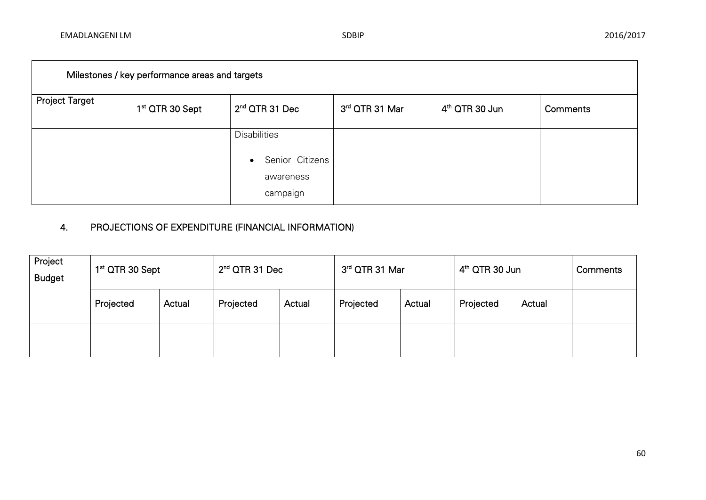| Milestones / key performance areas and targets |                             |                              |                |                            |          |  |  |  |
|------------------------------------------------|-----------------------------|------------------------------|----------------|----------------------------|----------|--|--|--|
| <b>Project Target</b>                          | 1 <sup>st</sup> QTR 30 Sept | $2nd$ QTR 31 Dec             | 3rd QTR 31 Mar | 4 <sup>th</sup> QTR 30 Jun | Comments |  |  |  |
|                                                |                             | <b>Disabilities</b>          |                |                            |          |  |  |  |
|                                                |                             | Senior Citizens<br>$\bullet$ |                |                            |          |  |  |  |
|                                                |                             | awareness<br>campaign        |                |                            |          |  |  |  |

# 4. PROJECTIONS OF EXPENDITURE (FINANCIAL INFORMATION)

| Project<br><b>Budget</b> | 1 <sup>st</sup> QTR 30 Sept |        | $2nd$ QTR 31 Dec |        | 3rd QTR 31 Mar |        | 4 <sup>th</sup> QTR 30 Jun |        | Comments |
|--------------------------|-----------------------------|--------|------------------|--------|----------------|--------|----------------------------|--------|----------|
|                          | Projected                   | Actual | Projected        | Actual | Projected      | Actual | Projected                  | Actual |          |
|                          |                             |        |                  |        |                |        |                            |        |          |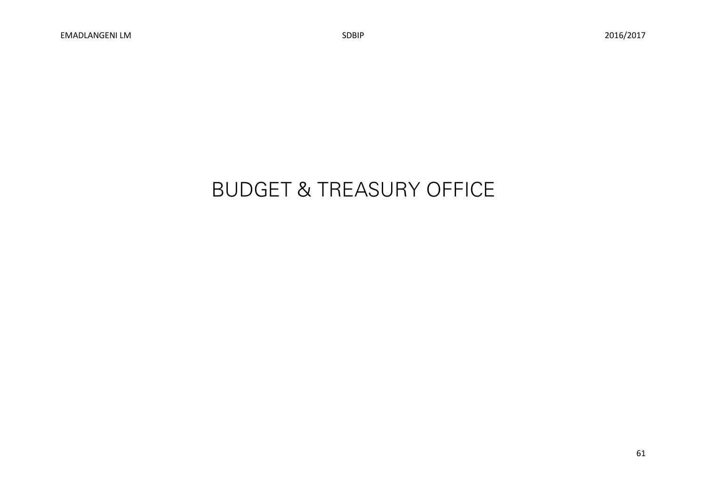# BUDGET & TREASURY OFFICE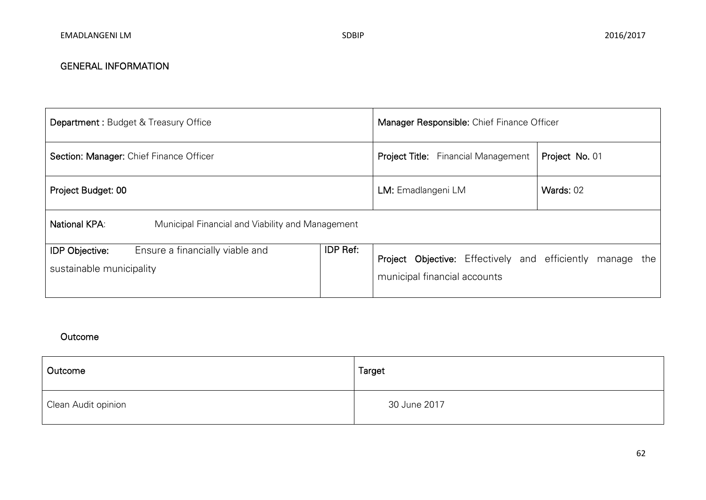| <b>Department: Budget &amp; Treasury Office</b>                                      | Manager Responsible: Chief Finance Officer |                              |                                                                  |                |  |  |
|--------------------------------------------------------------------------------------|--------------------------------------------|------------------------------|------------------------------------------------------------------|----------------|--|--|
| Section: Manager: Chief Finance Officer                                              | <b>Project Title:</b> Financial Management |                              |                                                                  | Project No. 01 |  |  |
| Project Budget: 00                                                                   | LM: Emadlangeni LM                         | Wards: 02                    |                                                                  |                |  |  |
| National KPA:<br>Municipal Financial and Viability and Management                    |                                            |                              |                                                                  |                |  |  |
| Ensure a financially viable and<br><b>IDP Objective:</b><br>sustainable municipality | <b>IDP Ref:</b>                            | municipal financial accounts | <b>Project Objective:</b> Effectively and efficiently manage the |                |  |  |

| Outcome             | Target       |
|---------------------|--------------|
| Clean Audit opinion | 30 June 2017 |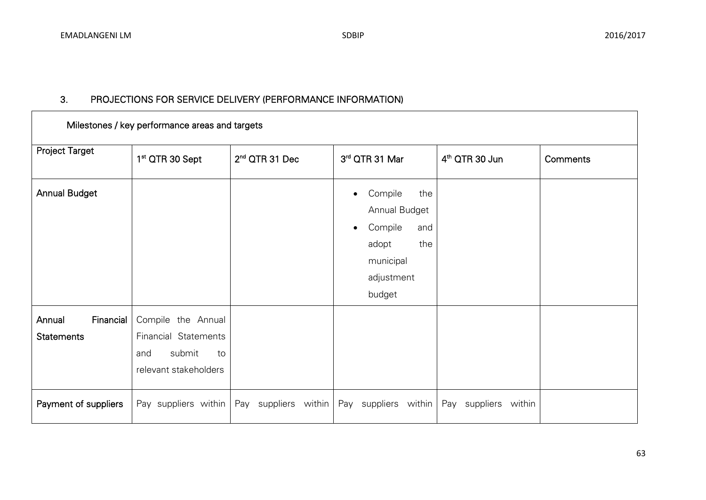| Milestones / key performance areas and targets |                                                                                            |                            |  |                                                                                                                     |                            |          |  |  |
|------------------------------------------------|--------------------------------------------------------------------------------------------|----------------------------|--|---------------------------------------------------------------------------------------------------------------------|----------------------------|----------|--|--|
| <b>Project Target</b>                          | 1 <sup>st</sup> QTR 30 Sept                                                                | 2 <sup>nd</sup> QTR 31 Dec |  | 3rd QTR 31 Mar                                                                                                      | 4 <sup>th</sup> QTR 30 Jun | Comments |  |  |
| <b>Annual Budget</b>                           |                                                                                            |                            |  | Compile<br>the<br>Annual Budget<br>Compile<br>and<br>$\bullet$<br>adopt<br>the<br>municipal<br>adjustment<br>budget |                            |          |  |  |
| Financial<br>Annual<br><b>Statements</b>       | Compile the Annual<br>Financial Statements<br>submit<br>and<br>to<br>relevant stakeholders |                            |  |                                                                                                                     |                            |          |  |  |
| Payment of suppliers                           | Pay suppliers within                                                                       | Pay suppliers within       |  | Pay suppliers within                                                                                                | Pay suppliers within       |          |  |  |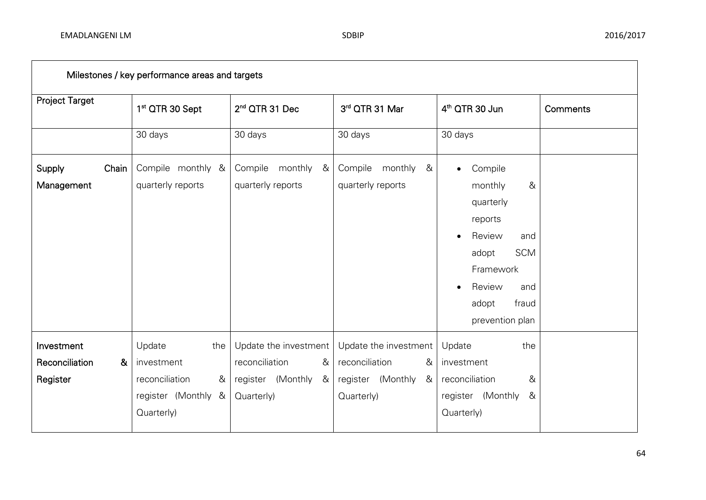| Milestones / key performance areas and targets                    |                                                                                         |                                                                                      |                                                                                      |                                                                                                                                                                                      |          |  |  |
|-------------------------------------------------------------------|-----------------------------------------------------------------------------------------|--------------------------------------------------------------------------------------|--------------------------------------------------------------------------------------|--------------------------------------------------------------------------------------------------------------------------------------------------------------------------------------|----------|--|--|
| <b>Project Target</b>                                             | 1 <sup>st</sup> QTR 30 Sept                                                             | 2 <sup>nd</sup> QTR 31 Dec                                                           | 3rd QTR 31 Mar                                                                       | 4 <sup>th</sup> QTR 30 Jun                                                                                                                                                           | Comments |  |  |
|                                                                   | 30 days                                                                                 | 30 days                                                                              | 30 days                                                                              | 30 days                                                                                                                                                                              |          |  |  |
| Chain<br>Supply<br>Management                                     | Compile monthly &<br>quarterly reports                                                  | Compile monthly<br>&<br>quarterly reports                                            | Compile monthly &<br>quarterly reports                                               | Compile<br>$\bullet$<br>&<br>monthly<br>quarterly<br>reports<br>Review<br>and<br><b>SCM</b><br>adopt<br>Framework<br>Review<br>and<br>$\bullet$<br>fraud<br>adopt<br>prevention plan |          |  |  |
| Investment<br>Reconciliation<br>$\boldsymbol{\alpha}$<br>Register | Update<br>the<br>investment<br>reconciliation<br>&<br>register (Monthly &<br>Quarterly) | Update the investment<br>reconciliation<br>&<br>register (Monthly<br>&<br>Quarterly) | Update the investment<br>reconciliation<br>&<br>register (Monthly<br>&<br>Quarterly) | Update<br>the<br>investment<br>reconciliation<br>&<br>register (Monthly<br>&<br>Quarterly)                                                                                           |          |  |  |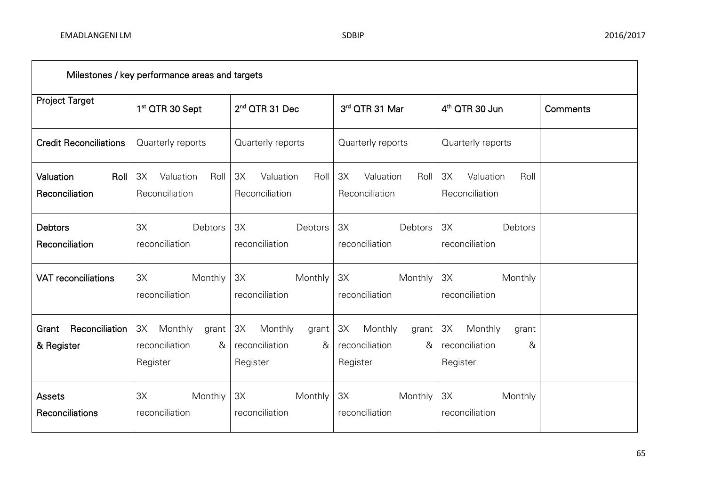| Milestones / key performance areas and targets |                                                                  |                                                           |                                                           |                                                           |          |  |  |
|------------------------------------------------|------------------------------------------------------------------|-----------------------------------------------------------|-----------------------------------------------------------|-----------------------------------------------------------|----------|--|--|
| <b>Project Target</b>                          | 1 <sup>st</sup> QTR 30 Sept                                      | 2 <sup>nd</sup> QTR 31 Dec                                | 3rd QTR 31 Mar                                            | 4 <sup>th</sup> QTR 30 Jun                                | Comments |  |  |
| <b>Credit Reconciliations</b>                  | Quarterly reports                                                | Quarterly reports                                         | Quarterly reports                                         | Quarterly reports                                         |          |  |  |
| Valuation<br>Roll<br>Reconciliation            | 3X<br>Valuation<br>Roll<br>Reconciliation                        | 3X<br>Valuation<br>Roll<br>Reconciliation                 | 3X<br>Valuation<br>Roll<br>Reconciliation                 | 3X<br>Valuation<br>Roll<br>Reconciliation                 |          |  |  |
| <b>Debtors</b><br>Reconciliation               | Debtors<br>3X<br>reconciliation                                  | Debtors<br>3X<br>reconciliation                           | Debtors<br>3X<br>reconciliation                           | 3X<br>Debtors<br>reconciliation                           |          |  |  |
| <b>VAT reconciliations</b>                     | Monthly<br>3X<br>reconciliation                                  | 3X<br>Monthly<br>reconciliation                           | Monthly<br>3X<br>reconciliation                           | Monthly<br>3X<br>reconciliation                           |          |  |  |
| Reconciliation<br>Grant<br>& Register          | Monthly<br>3X<br>grant<br><i>reconciliation</i><br>&<br>Register | ЗХ<br>Monthly<br>grant<br>reconciliation<br>&<br>Register | 3X<br>Monthly<br>grant<br>reconciliation<br>&<br>Register | ЗХ<br>Monthly<br>grant<br>reconciliation<br>&<br>Register |          |  |  |
| <b>Assets</b><br>Reconciliations               | Monthly<br>ЗХ<br>reconciliation                                  | 3X<br>Monthly<br>reconciliation                           | 3X<br>Monthly<br>reconciliation                           | 3X<br>Monthly<br>reconciliation                           |          |  |  |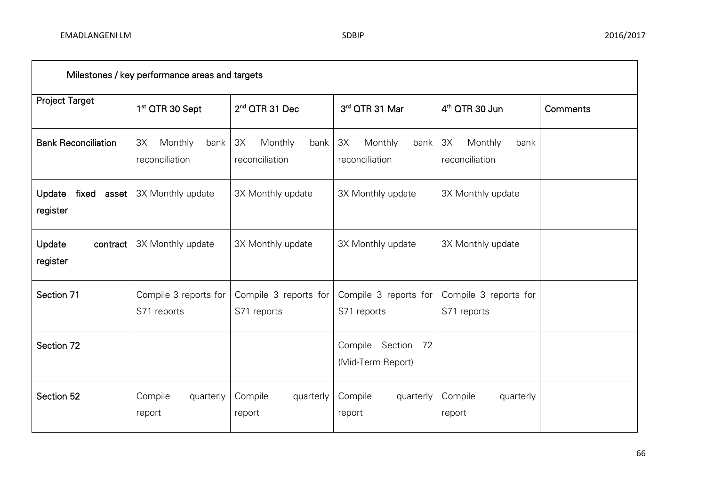| Milestones / key performance areas and targets |                                         |                                         |                                            |                                         |                 |  |  |
|------------------------------------------------|-----------------------------------------|-----------------------------------------|--------------------------------------------|-----------------------------------------|-----------------|--|--|
| <b>Project Target</b>                          | 1 <sup>st</sup> QTR 30 Sept             | 2 <sup>nd</sup> QTR 31 Dec              | 3rd QTR 31 Mar                             | 4 <sup>th</sup> QTR 30 Jun              | <b>Comments</b> |  |  |
| <b>Bank Reconciliation</b>                     | 3X<br>Monthly<br>bank<br>reconciliation | 3X<br>Monthly<br>bank<br>reconciliation | 3X<br>Monthly<br>bank<br>reconciliation    | 3X<br>Monthly<br>bank<br>reconciliation |                 |  |  |
| fixed<br>Update<br>asset<br>register           | 3X Monthly update                       | 3X Monthly update                       | 3X Monthly update                          | 3X Monthly update                       |                 |  |  |
| Update<br>contract<br>register                 | 3X Monthly update                       | 3X Monthly update                       | 3X Monthly update                          | 3X Monthly update                       |                 |  |  |
| Section 71                                     | Compile 3 reports for<br>S71 reports    | Compile 3 reports for<br>S71 reports    | Compile 3 reports for<br>S71 reports       | Compile 3 reports for<br>S71 reports    |                 |  |  |
| Section 72                                     |                                         |                                         | Compile<br>Section 72<br>(Mid-Term Report) |                                         |                 |  |  |
| Section 52                                     | Compile<br>quarterly<br>report          | Compile<br>quarterly<br>report          | Compile<br>quarterly<br>report             | Compile<br>quarterly<br>report          |                 |  |  |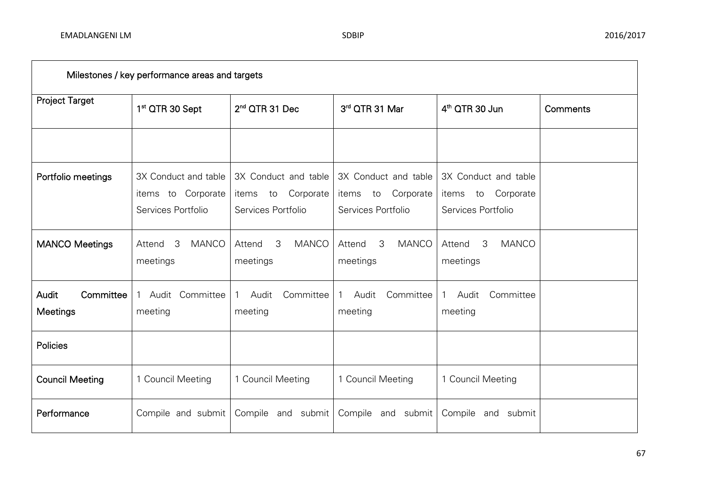| Milestones / key performance areas and targets |                                                                  |                                                                        |                                                                  |                                                                  |          |  |  |  |
|------------------------------------------------|------------------------------------------------------------------|------------------------------------------------------------------------|------------------------------------------------------------------|------------------------------------------------------------------|----------|--|--|--|
| <b>Project Target</b>                          | 1 <sup>st</sup> QTR 30 Sept                                      | 2 <sup>nd</sup> QTR 31 Dec                                             | 3rd QTR 31 Mar                                                   | 4 <sup>th</sup> QTR 30 Jun                                       | Comments |  |  |  |
|                                                |                                                                  |                                                                        |                                                                  |                                                                  |          |  |  |  |
| Portfolio meetings                             | 3X Conduct and table<br>items to Corporate<br>Services Portfolio | 3X Conduct and table<br>Corporate<br>items<br>to<br>Services Portfolio | 3X Conduct and table<br>items to Corporate<br>Services Portfolio | 3X Conduct and table<br>items to Corporate<br>Services Portfolio |          |  |  |  |
| <b>MANCO Meetings</b>                          | 3<br><b>MANCO</b><br>Attend<br>meetings                          | 3<br><b>MANCO</b><br>Attend<br>meetings                                | 3<br><b>MANCO</b><br>Attend<br>meetings                          | 3<br><b>MANCO</b><br>Attend<br>meetings                          |          |  |  |  |
| Committee<br><b>Audit</b><br>Meetings          | Audit Committee<br>meeting                                       | Committee<br>Audit<br>meeting                                          | Committee<br>Audit<br>meeting                                    | Audit<br>Committee<br>meeting                                    |          |  |  |  |
| Policies                                       |                                                                  |                                                                        |                                                                  |                                                                  |          |  |  |  |
| <b>Council Meeting</b>                         | 1 Council Meeting                                                | 1 Council Meeting                                                      | 1 Council Meeting                                                | 1 Council Meeting                                                |          |  |  |  |
| Performance                                    | Compile and submit                                               | Compile and submit                                                     | Compile and submit                                               | Compile and<br>submit                                            |          |  |  |  |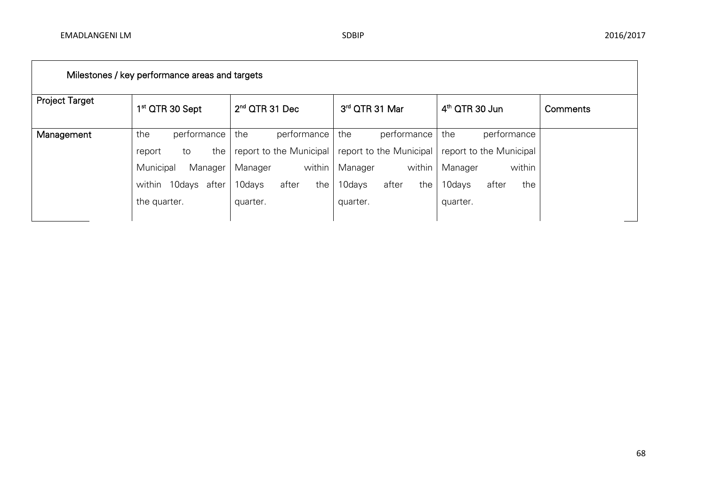| Milestones / key performance areas and targets |                             |                         |                         |                         |          |  |  |  |
|------------------------------------------------|-----------------------------|-------------------------|-------------------------|-------------------------|----------|--|--|--|
| <b>Project Target</b>                          | 1 <sup>st</sup> QTR 30 Sept | $2nd$ QTR 31 Dec        | 3rd QTR 31 Mar          | $4th$ QTR 30 Jun        | Comments |  |  |  |
| Management                                     | the<br>performance          | performance<br>the      | the<br>performance      | the<br>performance      |          |  |  |  |
|                                                | the<br>to<br>report         | report to the Municipal | report to the Municipal | report to the Municipal |          |  |  |  |
|                                                | Municipal<br>Manager        | within<br>Manager       | within<br>Manager       | within<br>Manager       |          |  |  |  |
|                                                | 10days<br>after<br>within   | 10days<br>the<br>after  | after<br>10days<br>the  | 10days<br>after<br>the  |          |  |  |  |
|                                                | the quarter.                | quarter.                | quarter.                | quarter.                |          |  |  |  |
|                                                |                             |                         |                         |                         |          |  |  |  |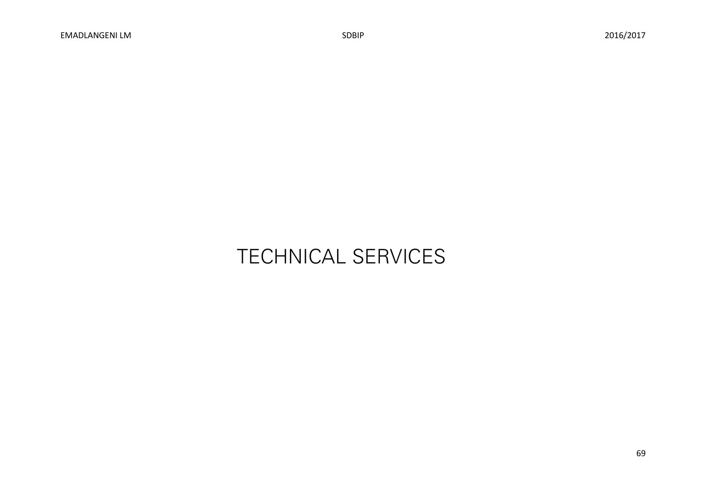# TECHNICAL SERVICES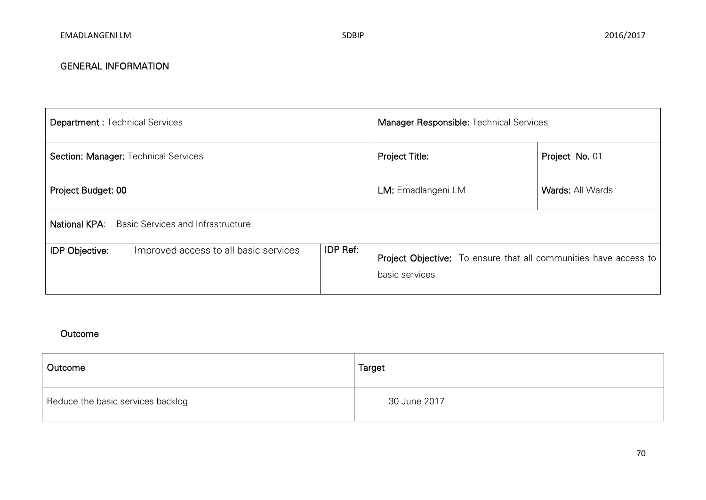| <b>Department: Technical Services</b>                            | Manager Responsible: Technical Services                                                   |                         |  |
|------------------------------------------------------------------|-------------------------------------------------------------------------------------------|-------------------------|--|
| Section: Manager: Technical Services                             | Project Title:                                                                            | Project No. 01          |  |
| Project Budget: 00                                               | LM: Emadlangeni LM                                                                        | <b>Wards: All Wards</b> |  |
| <b>National KPA:</b><br><b>Basic Services and Infrastructure</b> |                                                                                           |                         |  |
| <b>IDP Objective:</b><br>Improved access to all basic services   | <b>Project Objective:</b> To ensure that all communities have access to<br>basic services |                         |  |

| Outcome                           | Target       |
|-----------------------------------|--------------|
| Reduce the basic services backlog | 30 June 2017 |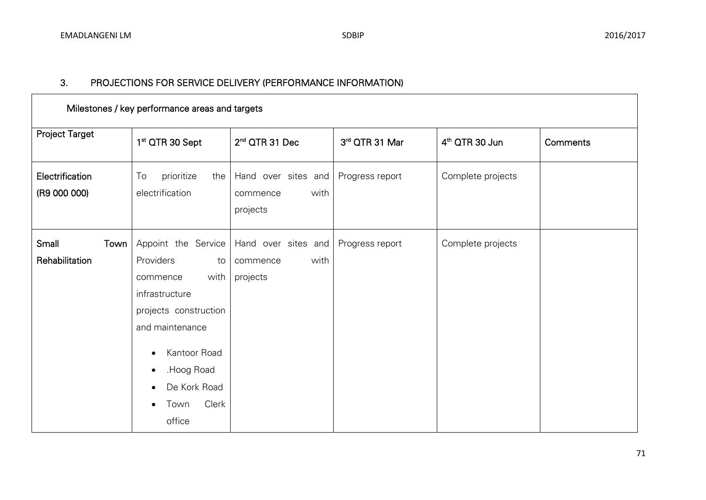| Milestones / key performance areas and targets |                                                                                                                                                                                        |                                                     |                 |                            |          |  |  |  |
|------------------------------------------------|----------------------------------------------------------------------------------------------------------------------------------------------------------------------------------------|-----------------------------------------------------|-----------------|----------------------------|----------|--|--|--|
| <b>Project Target</b>                          | 1 <sup>st</sup> QTR 30 Sept                                                                                                                                                            | 2 <sup>nd</sup> QTR 31 Dec                          | 3rd QTR 31 Mar  | 4 <sup>th</sup> QTR 30 Jun | Comments |  |  |  |
| Electrification<br>(R9 000 000)                | To<br>prioritize<br>the<br>electrification                                                                                                                                             | Hand over sites and<br>with<br>commence<br>projects | Progress report | Complete projects          |          |  |  |  |
| Small<br>Town<br>Rehabilitation                | Appoint the Service<br>Providers<br>to<br>with<br>commence<br>infrastructure<br>projects construction<br>and maintenance<br>Kantoor Road<br>Hoog Road<br>De Kork Road<br>Clerk<br>Town | Hand over sites and<br>with<br>commence<br>projects | Progress report | Complete projects          |          |  |  |  |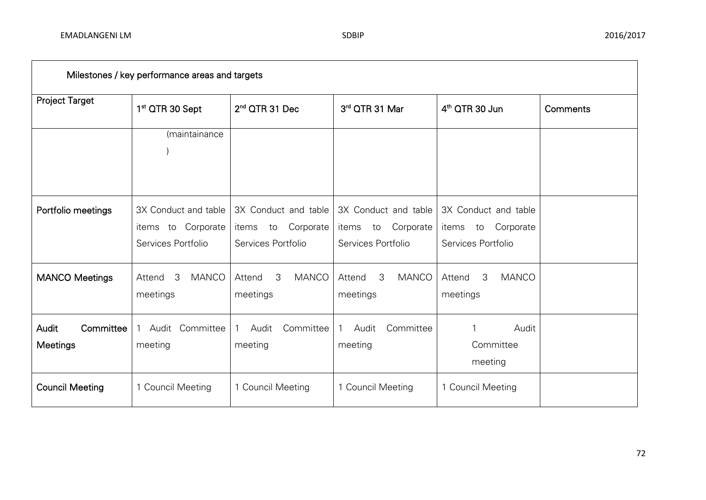| Milestones / key performance areas and targets |                                                                  |                                                                        |                                                                        |                                                                        |          |  |  |  |
|------------------------------------------------|------------------------------------------------------------------|------------------------------------------------------------------------|------------------------------------------------------------------------|------------------------------------------------------------------------|----------|--|--|--|
| <b>Project Target</b>                          | 1 <sup>st</sup> QTR 30 Sept                                      | 2 <sup>nd</sup> QTR 31 Dec                                             | 3rd QTR 31 Mar                                                         | 4 <sup>th</sup> QTR 30 Jun                                             | Comments |  |  |  |
|                                                | (maintainance                                                    |                                                                        |                                                                        |                                                                        |          |  |  |  |
| Portfolio meetings                             | 3X Conduct and table<br>items to Corporate<br>Services Portfolio | 3X Conduct and table<br>Corporate<br>items<br>to<br>Services Portfolio | 3X Conduct and table<br>Corporate<br>items<br>to<br>Services Portfolio | 3X Conduct and table<br>Corporate<br>items<br>to<br>Services Portfolio |          |  |  |  |
| <b>MANCO Meetings</b>                          | 3<br><b>MANCO</b><br>Attend<br>meetings                          | 3<br><b>MANCO</b><br>Attend<br>meetings                                | 3<br><b>MANCO</b><br>Attend<br>meetings                                | <b>MANCO</b><br>3<br>Attend<br>meetings                                |          |  |  |  |
| Audit<br>Committee<br>Meetings                 | Committee<br>Audit<br>1<br>meeting                               | Audit<br>Committee<br>meeting                                          | Audit<br>Committee<br>$\mathbf{1}$<br>meeting                          | Audit<br>Committee<br>meeting                                          |          |  |  |  |
| <b>Council Meeting</b>                         | 1 Council Meeting                                                | 1 Council Meeting                                                      | 1 Council Meeting                                                      | 1 Council Meeting                                                      |          |  |  |  |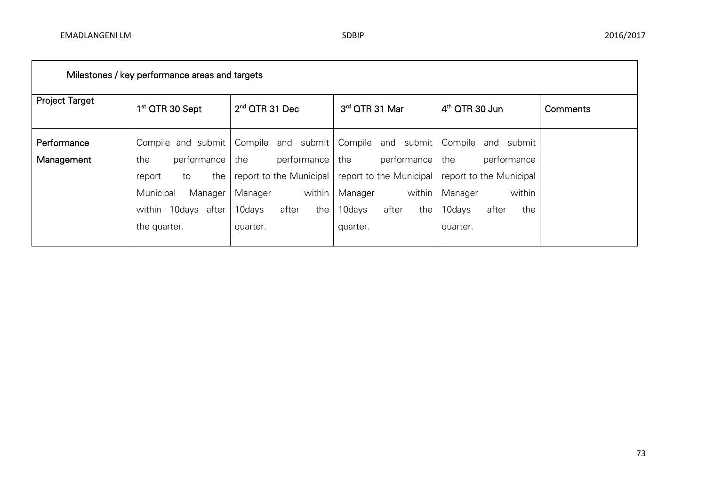| Milestones / key performance areas and targets |                             |                                       |                         |                                       |          |  |  |
|------------------------------------------------|-----------------------------|---------------------------------------|-------------------------|---------------------------------------|----------|--|--|
| <b>Project Target</b>                          | 1 <sup>st</sup> QTR 30 Sept | $2nd$ QTR 31 Dec                      | 3rd QTR 31 Mar          | $4th$ QTR 30 Jun                      | Comments |  |  |
| Performance                                    |                             | Compile and submit Compile and submit |                         | Compile and submit Compile and submit |          |  |  |
| Management                                     | performance<br>the          | the<br>performance the                | performance the         | performance                           |          |  |  |
|                                                | the<br>report<br>to         | report to the Municipal               | report to the Municipal | report to the Municipal               |          |  |  |
|                                                | Municipal<br>Manager        | within<br>Manager                     | within<br>Manager       | within<br>Manager                     |          |  |  |
|                                                | within 10days after         | 10days<br>after<br>the                | 10days<br>after<br>the  | 10days<br>after<br>the                |          |  |  |
|                                                | the quarter.                | quarter.                              | quarter.                | quarter.                              |          |  |  |